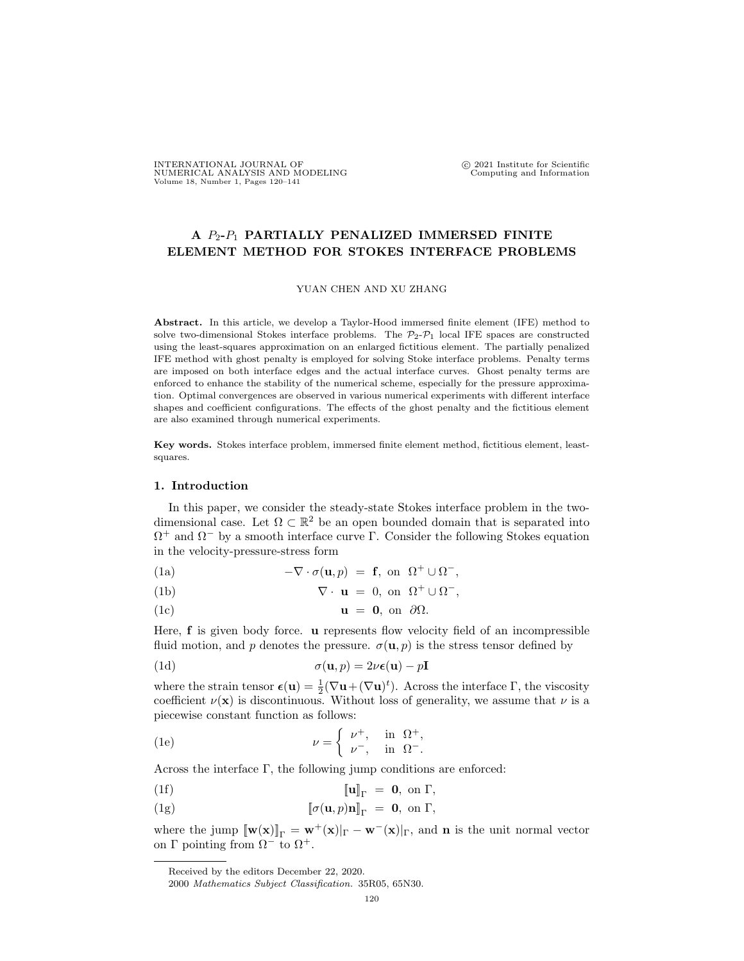# **A** *P*2**-***P*<sup>1</sup> **PARTIALLY PENALIZED IMMERSED FINITE ELEMENT METHOD FOR STOKES INTERFACE PROBLEMS**

## YUAN CHEN AND XU ZHANG

**Abstract.** In this article, we develop a Taylor-Hood immersed finite element (IFE) method to solve two-dimensional Stokes interface problems. The  $\mathcal{P}_2-\mathcal{P}_1$  local IFE spaces are constructed using the least-squares approximation on an enlarged fictitious element. The partially penalized IFE method with ghost penalty is employed for solving Stoke interface problems. Penalty terms are imposed on both interface edges and the actual interface curves. Ghost penalty terms are enforced to enhance the stability of the numerical scheme, especially for the pressure approximation. Optimal convergences are observed in various numerical experiments with different interface shapes and coefficient configurations. The effects of the ghost penalty and the fictitious element are also examined through numerical experiments.

**Key words.** Stokes interface problem, immersed finite element method, fictitious element, leastsquares.

### **1. Introduction**

In this paper, we consider the steady-state Stokes interface problem in the twodimensional case. Let  $\Omega \subset \mathbb{R}^2$  be an open bounded domain that is separated into Ω <sup>+</sup> and Ω*<sup>−</sup>* by a smooth interface curve Γ. Consider the following Stokes equation in the velocity-pressure-stress form

<span id="page-0-2"></span>(1a)  $-\nabla \cdot \sigma(\mathbf{u},p) = \mathbf{f}, \text{ on } \Omega^+ \cup \Omega^-,$ 

(1b) 
$$
\nabla \cdot \mathbf{u} = 0, \text{ on } \Omega^+ \cup \Omega^-,
$$

(1c)  $\mathbf{u} = \mathbf{0}$ , on  $\partial\Omega$ .

Here, **f** is given body force. **u** represents flow velocity field of an incompressible fluid motion, and *p* denotes the pressure.  $\sigma(\mathbf{u}, p)$  is the stress tensor defined by

(1d) 
$$
\sigma(\mathbf{u},p) = 2\nu\epsilon(\mathbf{u}) - p\mathbf{I}
$$

where the strain tensor  $\epsilon(\mathbf{u}) = \frac{1}{2} (\nabla \mathbf{u} + (\nabla \mathbf{u})^t)$ . Across the interface  $\Gamma$ , the viscosity coefficient  $\nu(\mathbf{x})$  is discontinuous. Without loss of generality, we assume that  $\nu$  is a piecewise constant function as follows:

(1e) 
$$
\nu = \begin{cases} \nu^+, & \text{in } \Omega^+, \\ \nu^-, & \text{in } \Omega^-. \end{cases}
$$

Across the interface Γ, the following jump conditions are enforced:

<span id="page-0-1"></span><span id="page-0-0"></span>(1f) 
$$
\llbracket \mathbf{u} \rrbracket_{\Gamma} = \mathbf{0}, \text{ on } \Gamma,
$$

(1g)  $\left[\![\sigma(\mathbf{u},p)\mathbf{n}\right]\!]_{\Gamma} = \mathbf{0}, \text{ on } \Gamma,$ 

where the jump  $[\![\mathbf{w}(\mathbf{x})]\!]_{\Gamma} = \mathbf{w}^+(\mathbf{x})|_{\Gamma} - \mathbf{w}^-(\mathbf{x})|_{\Gamma}$ , and **n** is the unit normal vector on Γ pointing from  $Ω<sup>-</sup>$  to  $Ω<sup>+</sup>$ .

Received by the editors December 22, 2020.

<sup>2000</sup> *Mathematics Subject Classification.* 35R05, 65N30.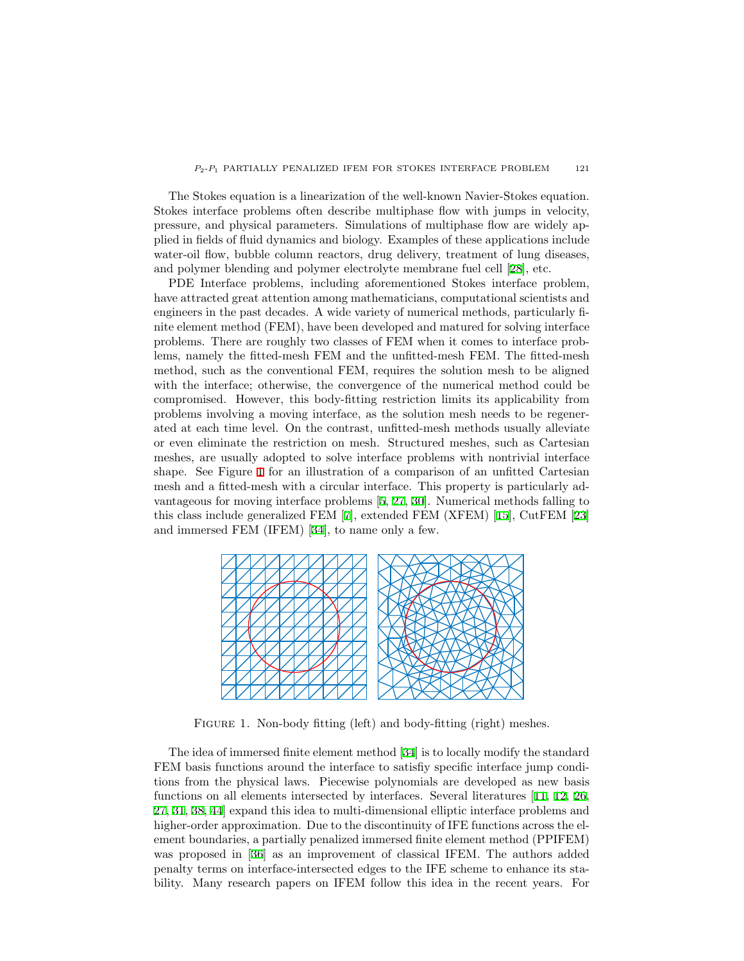The Stokes equation is a linearization of the well-known Navier-Stokes equation. Stokes interface problems often describe multiphase flow with jumps in velocity, pressure, and physical parameters. Simulations of multiphase flow are widely applied in fields of fluid dynamics and biology. Examples of these applications include water-oil flow, bubble column reactors, drug delivery, treatment of lung diseases, and polymer blending and polymer electrolyte membrane fuel cell[[28\]](#page-20-0), etc.

PDE Interface problems, including aforementioned Stokes interface problem, have attracted great attention among mathematicians, computational scientists and engineers in the past decades. A wide variety of numerical methods, particularly finite element method (FEM), have been developed and matured for solving interface problems. There are roughly two classes of FEM when it comes to interface problems, namely the fitted-mesh FEM and the unfitted-mesh FEM. The fitted-mesh method, such as the conventional FEM, requires the solution mesh to be aligned with the interface; otherwise, the convergence of the numerical method could be compromised. However, this body-fitting restriction limits its applicability from problems involving a moving interface, as the solution mesh needs to be regenerated at each time level. On the contrast, unfitted-mesh methods usually alleviate or even eliminate the restriction on mesh. Structured meshes, such as Cartesian meshes, are usually adopted to solve interface problems with nontrivial interface shape. See Figure [1](#page-1-0) for an illustration of a comparison of an unfitted Cartesian mesh and a fitted-mesh with a circular interface. This property is particularly advantageous for moving interface problems [\[5](#page-19-0), [27](#page-20-1), [30](#page-20-2)]. Numerical methods falling to this class include generalized FEM [\[7](#page-19-1)], extended FEM (XFEM)[[15\]](#page-20-3), CutFEM[[23\]](#page-20-4) and immersed FEM (IFEM)[[34\]](#page-21-0), to name only a few.

<span id="page-1-0"></span>

FIGURE 1. Non-body fitting (left) and body-fitting (right) meshes.

The idea of immersed finite element method[[34\]](#page-21-0) is to locally modify the standard FEM basis functions around the interface to satisfiy specific interface jump conditions from the physical laws. Piecewise polynomials are developed as new basis functions on all elements intersected by interfaces. Several literatures[[11,](#page-19-2) [12](#page-19-3), [26,](#page-20-5) [27,](#page-20-1) [31](#page-20-6), [38,](#page-21-1) [44](#page-21-2)] expand this idea to multi-dimensional elliptic interface problems and higher-order approximation. Due to the discontinuity of IFE functions across the element boundaries, a partially penalized immersed finite element method (PPIFEM) was proposed in[[36\]](#page-21-3) as an improvement of classical IFEM. The authors added penalty terms on interface-intersected edges to the IFE scheme to enhance its stability. Many research papers on IFEM follow this idea in the recent years. For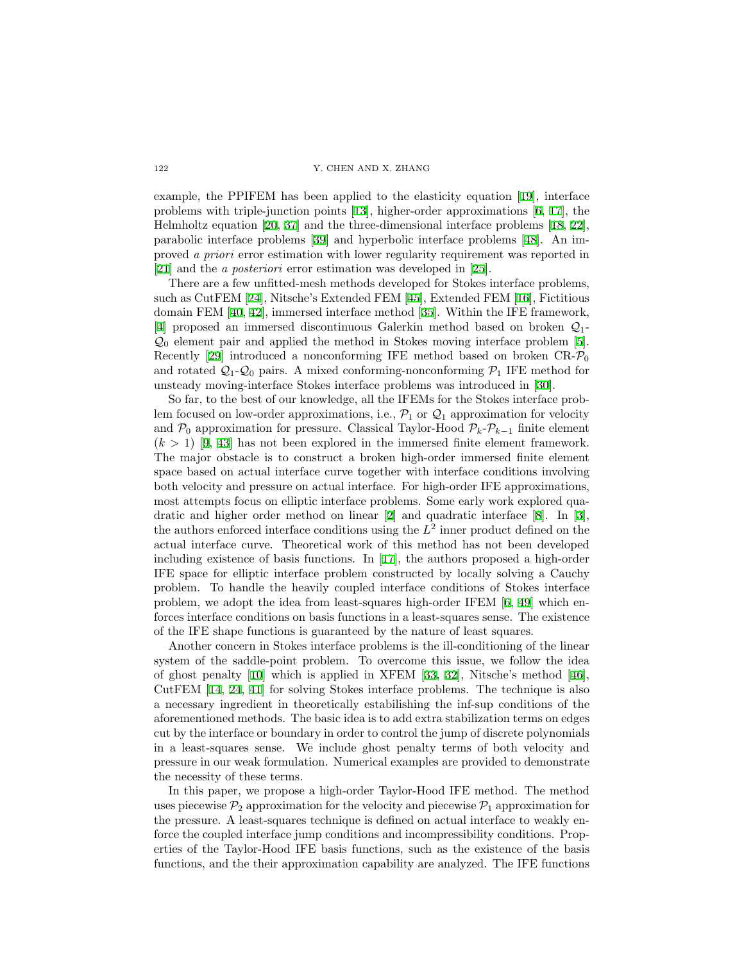example, the PPIFEM has been applied to the elasticity equation [\[19](#page-20-7)], interface problems with triple-junction points[[13](#page-20-8)], higher-order approximations[[6,](#page-19-4) [17](#page-20-9)], the Helmholtz equation [\[20](#page-20-10), [37](#page-21-4)] and the three-dimensional interface problems[[18,](#page-20-11) [22\]](#page-20-12), parabolic interface problems [\[39](#page-21-5)] and hyperbolic interface problems[[48\]](#page-21-6). An improved *a priori* error estimation with lower regularity requirement was reported in [\[21](#page-20-13)] and the *a posteriori* error estimation was developed in [\[25](#page-20-14)].

There are a few unfitted-mesh methods developed for Stokes interface problems, such as CutFEM [\[24](#page-20-15)], Nitsche's Extended FEM[[45\]](#page-21-7), Extended FEM[[16\]](#page-20-16), Fictitious domain FEM[[40,](#page-21-8) [42](#page-21-9)], immersed interface method[[35\]](#page-21-10). Within the IFE framework, [\[4](#page-19-5)] proposed an immersed discontinuous Galerkin method based on broken *Q*1- *Q*<sup>0</sup> element pair and applied the method in Stokes moving interface problem[[5\]](#page-19-0). Recently[[29\]](#page-20-17) introduced a nonconforming IFE method based on broken CR-*P*<sup>0</sup> and rotated  $Q_1$ - $Q_0$  pairs. A mixed conforming-nonconforming  $P_1$  IFE method for unsteady moving-interface Stokes interface problems was introduced in[[30\]](#page-20-2).

So far, to the best of our knowledge, all the IFEMs for the Stokes interface problem focused on low-order approximations, i.e.,  $\mathcal{P}_1$  or  $\mathcal{Q}_1$  approximation for velocity and  $\mathcal{P}_0$  approximation for pressure. Classical Taylor-Hood  $\mathcal{P}_k$ - $\mathcal{P}_{k-1}$  finite element  $(k > 1)$  [\[9](#page-19-6), [43\]](#page-21-11) has not been explored in the immersed finite element framework. The major obstacle is to construct a broken high-order immersed finite element space based on actual interface curve together with interface conditions involving both velocity and pressure on actual interface. For high-order IFE approximations, most attempts focus on elliptic interface problems. Some early work explored quadratic and higher order method on linear[[2\]](#page-19-7) and quadratic interface[[8\]](#page-19-8). In[[3\]](#page-19-9), the authors enforced interface conditions using the  $L^2$  inner product defined on the actual interface curve. Theoretical work of this method has not been developed including existence of basis functions. In[[17\]](#page-20-9), the authors proposed a high-order IFE space for elliptic interface problem constructed by locally solving a Cauchy problem. To handle the heavily coupled interface conditions of Stokes interface problem, we adopt the idea from least-squares high-order IFEM [\[6](#page-19-4), [49\]](#page-21-12) which enforces interface conditions on basis functions in a least-squares sense. The existence of the IFE shape functions is guaranteed by the nature of least squares.

Another concern in Stokes interface problems is the ill-conditioning of the linear system of the saddle-point problem. To overcome this issue, we follow the idea of ghost penalty [\[10](#page-19-10)] which is applied in XFEM [\[33](#page-20-18), [32](#page-20-19)], Nitsche's method[[46\]](#page-21-13), CutFEM [\[14](#page-20-20), [24,](#page-20-15) [41](#page-21-14)] for solving Stokes interface problems. The technique is also a necessary ingredient in theoretically estabilishing the inf-sup conditions of the aforementioned methods. The basic idea is to add extra stabilization terms on edges cut by the interface or boundary in order to control the jump of discrete polynomials in a least-squares sense. We include ghost penalty terms of both velocity and pressure in our weak formulation. Numerical examples are provided to demonstrate the necessity of these terms.

In this paper, we propose a high-order Taylor-Hood IFE method. The method uses piecewise  $P_2$  approximation for the velocity and piecewise  $P_1$  approximation for the pressure. A least-squares technique is defined on actual interface to weakly enforce the coupled interface jump conditions and incompressibility conditions. Properties of the Taylor-Hood IFE basis functions, such as the existence of the basis functions, and the their approximation capability are analyzed. The IFE functions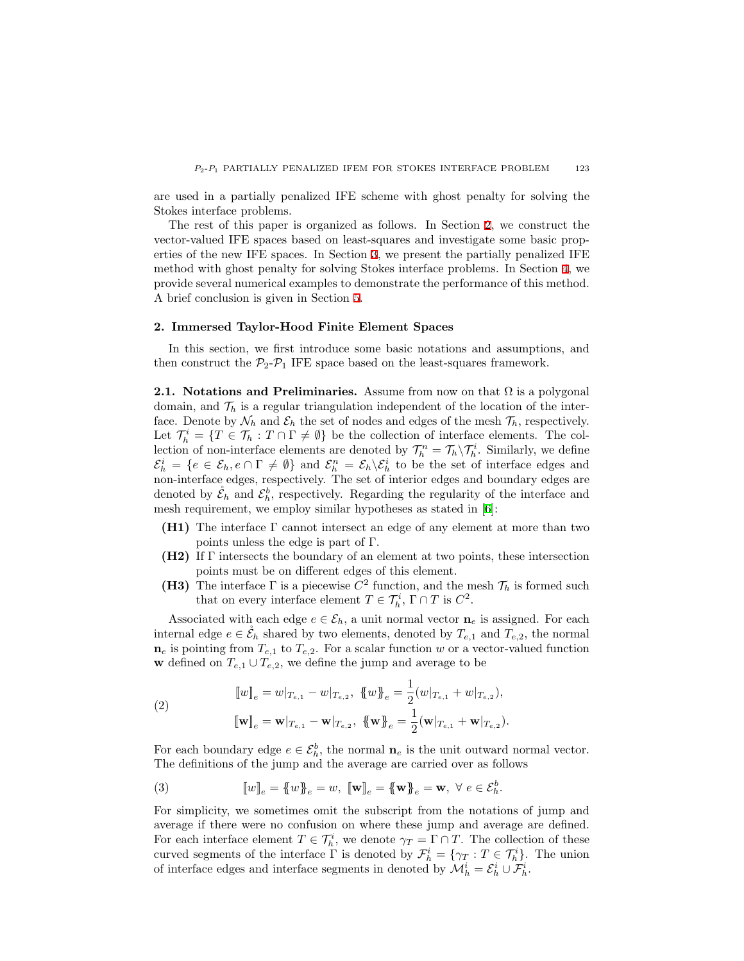are used in a partially penalized IFE scheme with ghost penalty for solving the Stokes interface problems.

The rest of this paper is organized as follows. In Section [2](#page-3-0), we construct the vector-valued IFE spaces based on least-squares and investigate some basic properties of the new IFE spaces. In Section [3,](#page-9-0) we present the partially penalized IFE method with ghost penalty for solving Stokes interface problems. In Section [4,](#page-11-0) we provide several numerical examples to demonstrate the performance of this method. A brief conclusion is given in Section [5](#page-18-0).

# <span id="page-3-0"></span>**2. Immersed Taylor-Hood Finite Element Spaces**

In this section, we first introduce some basic notations and assumptions, and then construct the  $P_2$ - $P_1$  IFE space based on the least-squares framework.

**2.1. Notations and Preliminaries.** Assume from now on that  $\Omega$  is a polygonal domain, and  $\mathcal{T}_h$  is a regular triangulation independent of the location of the interface. Denote by  $\mathcal{N}_h$  and  $\mathcal{E}_h$  the set of nodes and edges of the mesh  $\mathcal{T}_h$ , respectively. Let  $\mathcal{T}_h^i = \{T \in \mathcal{T}_h : T \cap \Gamma \neq \emptyset\}$  be the collection of interface elements. The collection of non-interface elements are denoted by  $\mathcal{T}_h^n = \mathcal{T}_h \setminus \mathcal{T}_h^i$ . Similarly, we define  $\mathcal{E}_h^i = \{e \in \mathcal{E}_h, e \cap \Gamma \neq \emptyset\}$  and  $\mathcal{E}_h^n = \mathcal{E}_h \backslash \mathcal{E}_h^i$  to be the set of interface edges and non-interface edges, respectively. The set of interior edges and boundary edges are denoted by  $\mathcal{E}_h$  and  $\mathcal{E}_h^b$ , respectively. Regarding the regularity of the interface and mesh requirement, we employ similar hypotheses as stated in [\[6](#page-19-4)]:

- **(H1)** The interface Γ cannot intersect an edge of any element at more than two points unless the edge is part of Γ.
- **(H2)** If Γ intersects the boundary of an element at two points, these intersection points must be on different edges of this element.
- **(H3)** The interface  $\Gamma$  is a piecewise  $C^2$  function, and the mesh  $\mathcal{T}_h$  is formed such that on every interface element  $T \in \mathcal{T}_h^i$ ,  $\Gamma \cap T$  is  $C^2$ .

Associated with each edge  $e \in \mathcal{E}_h$ , a unit normal vector  $\mathbf{n}_e$  is assigned. For each internal edge  $e \in \mathcal{E}_h$  shared by two elements, denoted by  $T_{e,1}$  and  $T_{e,2}$ , the normal  $n_e$  is pointing from  $T_{e,1}$  to  $T_{e,2}$ . For a scalar function *w* or a vector-valued function **w** defined on  $T_{e,1} \cup T_{e,2}$ , we define the jump and average to be

(2)  
\n
$$
\llbracket w \rrbracket_e = w \rvert_{T_{e,1}} - w \rvert_{T_{e,2}}, \ \llbracket w \rrbracket_e = \frac{1}{2} (w \rvert_{T_{e,1}} + w \rvert_{T_{e,2}}),
$$
\n
$$
\llbracket \mathbf{w} \rrbracket_e = \mathbf{w} \rvert_{T_{e,1}} - \mathbf{w} \rvert_{T_{e,2}}, \ \llbracket \mathbf{w} \rrbracket_e = \frac{1}{2} (\mathbf{w} \rvert_{T_{e,1}} + \mathbf{w} \rvert_{T_{e,2}}).
$$

For each boundary edge  $e \in \mathcal{E}_h^b$ , the normal  $\mathbf{n}_e$  is the unit outward normal vector. The definitions of the jump and the average are carried over as follows

(3) 
$$
[\![w]\!]_e = \{\!\!\{\,w\}\!\!\}_e = w, \ [\![\mathbf{w}]\!]_e = \{\!\!\{\mathbf{w}\}\!\!\}_e = \mathbf{w}, \ \forall \ e \in \mathcal{E}_h^b.
$$

For simplicity, we sometimes omit the subscript from the notations of jump and average if there were no confusion on where these jump and average are defined. For each interface element  $T \in \mathcal{T}_h^i$ , we denote  $\gamma_T = \Gamma \cap T$ . The collection of these curved segments of the interface  $\Gamma$  is denoted by  $\mathcal{F}_h^i = \{\gamma_T : T \in \mathcal{T}_h^i\}$ . The union of interface edges and interface segments in denoted by  $\mathcal{M}_h^i = \mathcal{E}_h^i \cup \mathcal{F}_h^i$ .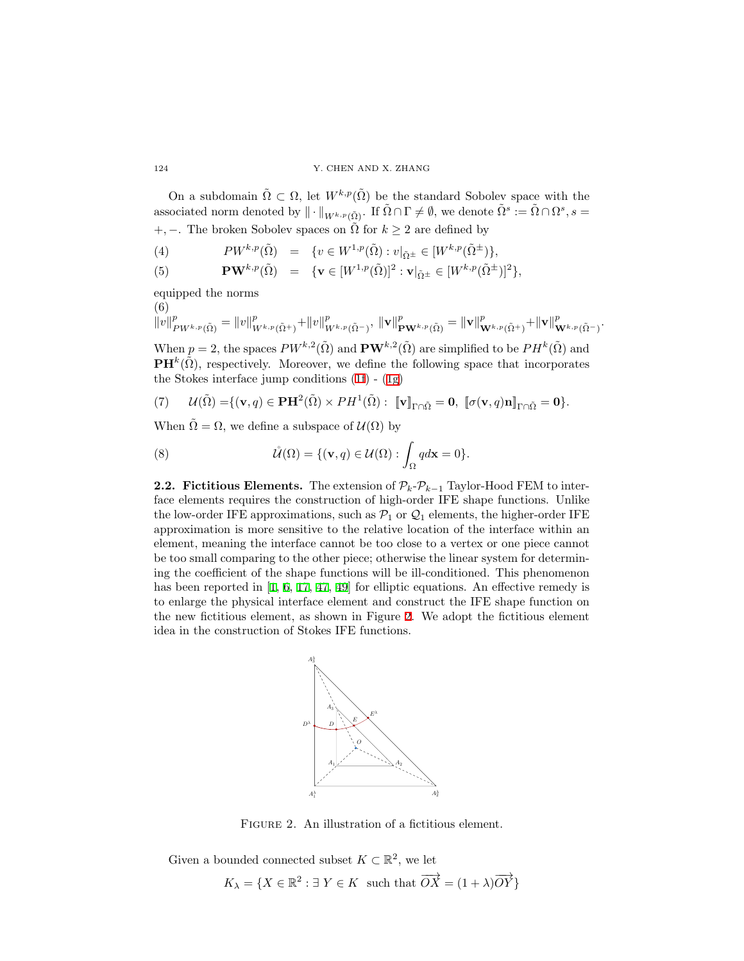On a subdomain  $\tilde{\Omega} \subset \Omega$ , let  $W^{k,p}(\tilde{\Omega})$  be the standard Sobolev space with the associated norm denoted by  $\|\cdot\|_{W^{k,p}(\tilde{\Omega})}$ . If  $\tilde{\Omega} \cap \Gamma \neq \emptyset$ , we denote  $\tilde{\Omega}^s := \tilde{\Omega} \cap \Omega^s$ ,  $s =$ +, −. The broken Sobolev spaces on  $\tilde{\Omega}$  for  $k \geq 2$  are defined by

*(*4)  $PW^{k,p}(\tilde{\Omega}) = \{v \in W^{1,p}(\tilde{\Omega}): v|_{\tilde{\Omega}^{\pm}} \in [W^{k,p}(\tilde{\Omega}^{\pm})\},\$ 

(5) 
$$
\mathbf{PW}^{k,p}(\tilde{\Omega}) = \{ \mathbf{v} \in [W^{1,p}(\tilde{\Omega})]^2 : \mathbf{v}|_{\tilde{\Omega}^{\pm}} \in [W^{k,p}(\tilde{\Omega}^{\pm})]^2 \},
$$

equipped the norms

$$
\begin{aligned}\n & (6) \\
& \|v\|_{PW^{k,p}(\tilde{\Omega})}^p &= \|v\|_{W^{k,p}(\tilde{\Omega}^+)}^p + \|v\|_{W^{k,p}(\tilde{\Omega}^-)}^p, \\
& \|v\|_{\mathbf{PW}^{k,p}(\tilde{\Omega})}^p &= \|v\|_{\mathbf{W}^{k,p}(\tilde{\Omega}^+)}^p + \|v\|_{\mathbf{W}^{k,p}(\tilde{\Omega}^-)}^p.\n \end{aligned}
$$

When  $p = 2$ , the spaces  $PW^{k,2}(\tilde{\Omega})$  and  $PW^{k,2}(\tilde{\Omega})$  are simplified to be  $PH^k(\tilde{\Omega})$  and  $\mathbf{PH}^k(\tilde{\Omega})$ , respectively. Moreover, we define the following space that incorporates the Stokes interface jump conditions([1f\)](#page-0-0) - [\(1g](#page-0-1))

(7)  $\mathcal{U}(\tilde{\Omega}) = \{ (\mathbf{v}, q) \in \mathbf{P}\mathbf{H}^2(\tilde{\Omega}) \times PH^1(\tilde{\Omega}): [\![\mathbf{v}]\!]_{\Gamma \cap \tilde{\Omega}} = \mathbf{0}, [\![\sigma(\mathbf{v}, q)\mathbf{n}]\!]_{\Gamma \cap \tilde{\Omega}} = \mathbf{0} \}.$ 

When  $\tilde{\Omega} = \Omega$ , we define a subspace of  $\mathcal{U}(\Omega)$  by

(8) 
$$
\mathring{\mathcal{U}}(\Omega) = \{ (\mathbf{v}, q) \in \mathcal{U}(\Omega) : \int_{\Omega} q d\mathbf{x} = 0 \}.
$$

<span id="page-4-1"></span>**2.2. Fictitious Elements.** The extension of  $\mathcal{P}_k - \mathcal{P}_{k-1}$  Taylor-Hood FEM to interface elements requires the construction of high-order IFE shape functions. Unlike the low-order IFE approximations, such as  $\mathcal{P}_1$  or  $\mathcal{Q}_1$  elements, the higher-order IFE approximation is more sensitive to the relative location of the interface within an element, meaning the interface cannot be too close to a vertex or one piece cannot be too small comparing to the other piece; otherwise the linear system for determining the coefficient of the shape functions will be ill-conditioned. This phenomenon has been reported in  $[1, 6, 17, 47, 49]$  $[1, 6, 17, 47, 49]$  $[1, 6, 17, 47, 49]$  $[1, 6, 17, 47, 49]$  $[1, 6, 17, 47, 49]$  $[1, 6, 17, 47, 49]$  $[1, 6, 17, 47, 49]$  $[1, 6, 17, 47, 49]$  $[1, 6, 17, 47, 49]$  for elliptic equations. An effective remedy is to enlarge the physical interface element and construct the IFE shape function on the new fictitious element, as shown in Figure [2](#page-4-0). We adopt the fictitious element idea in the construction of Stokes IFE functions.

<span id="page-4-0"></span>

FIGURE 2. An illustration of a fictitious element.

Given a bounded connected subset  $K \subset \mathbb{R}^2$ , we let

$$
K_{\lambda} = \{ X \in \mathbb{R}^2 : \exists Y \in K \text{ such that } \overrightarrow{OX} = (1 + \lambda)\overrightarrow{OY} \}
$$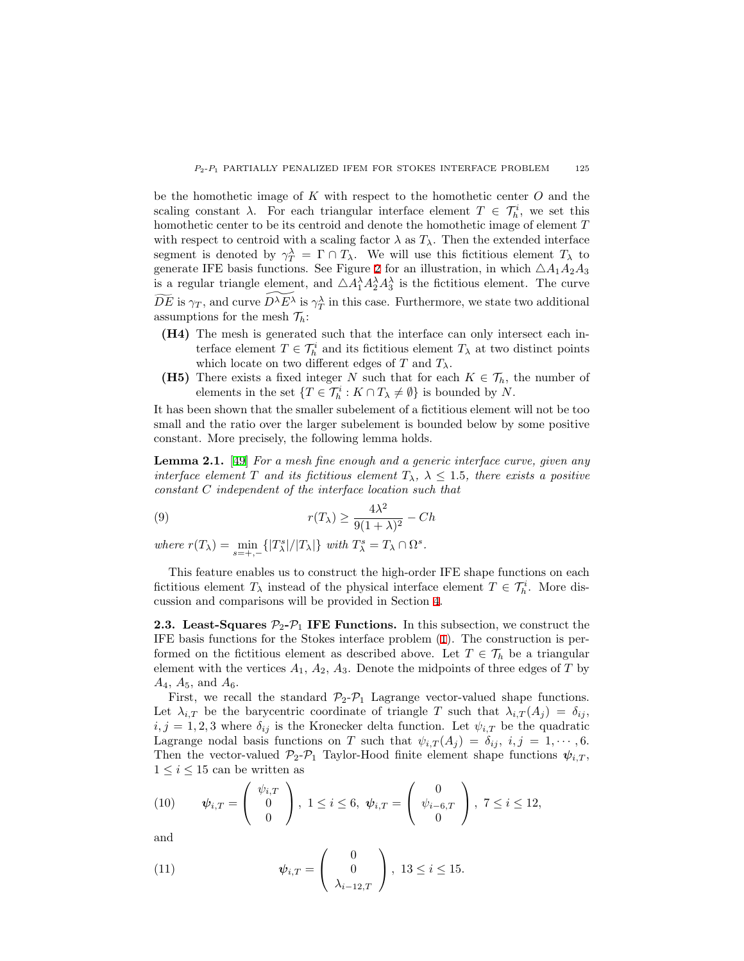be the homothetic image of *K* with respect to the homothetic center *O* and the scaling constant  $\lambda$ . For each triangular interface element  $T \in \mathcal{T}_h^i$ , we set this homothetic center to be its centroid and denote the homothetic image of element *T* with respect to centroid with a scaling factor  $\lambda$  as  $T_{\lambda}$ . Then the extended interface segment is denoted by  $\gamma_T^{\lambda} = \Gamma \cap T_{\lambda}$ . We will use this fictitious element  $T_{\lambda}$  to generate IFE basis functions. See Figure [2](#page-4-0) for an illustration, in which  $\triangle A_1A_2A_3$ is a regular triangle element, and  $\triangle A_1^{\lambda} A_2^{\lambda} A_3^{\lambda}$  is the fictitious element. The curve  $\widetilde{DE}$  is  $\gamma_T$ , and curve  $D^{\lambda}E^{\lambda}$  is  $\gamma_T^{\lambda}$  in this case. Furthermore, we state two additional assumptions for the mesh  $\mathcal{T}_h$ :

- **(H4)** The mesh is generated such that the interface can only intersect each interface element  $T \in \mathcal{T}_h^i$  and its fictitious element  $T_\lambda$  at two distinct points which locate on two different edges of  $T$  and  $T_\lambda$ .
- **(H5)** There exists a fixed integer *N* such that for each  $K \in \mathcal{T}_h$ , the number of elements in the set  ${T \in \mathcal{T}_h^i : K \cap T_\lambda \neq \emptyset}$  is bounded by *N*.

It has been shown that the smaller subelement of a fictitious element will not be too small and the ratio over the larger subelement is bounded below by some positive constant. More precisely, the following lemma holds.

**Lemma 2.1.** [\[49](#page-21-12)] *For a mesh fine enough and a generic interface curve, given any interface element T and its fictitious element*  $T_{\lambda}$ ,  $\lambda \leq 1.5$ *, there exists a positive constant C independent of the interface location such that*

(9) 
$$
r(T_{\lambda}) \ge \frac{4\lambda^2}{9(1+\lambda)^2} - Ch
$$

where  $r(T_\lambda) = \min_{s=+,-} \{|T_\lambda^s|/|T_\lambda|\}$  with  $T_\lambda^s = T_\lambda \cap \Omega^s$ .

This feature enables us to construct the high-order IFE shape functions on each fictitious element  $T_{\lambda}$  instead of the physical interface element  $T \in \mathcal{T}_h^i$ . More discussion and comparisons will be provided in Section [4.](#page-11-0)

**2.3. Least-Squares**  $\mathcal{P}_2$ - $\mathcal{P}_1$  IFE Functions. In this subsection, we construct the IFE basis functions for the Stokes interface problem([1\)](#page-0-2). The construction is performed on the fictitious element as described above. Let  $T \in \mathcal{T}_h$  be a triangular element with the vertices  $A_1$ ,  $A_2$ ,  $A_3$ . Denote the midpoints of three edges of  $T$  by *A*4, *A*5, and *A*6.

First, we recall the standard  $\mathcal{P}_2 - \mathcal{P}_1$  Lagrange vector-valued shape functions. Let  $\lambda_{i,T}$  be the barycentric coordinate of triangle *T* such that  $\lambda_{i,T}(A_i) = \delta_{ij}$ ,  $i, j = 1, 2, 3$  where  $\delta_{ij}$  is the Kronecker delta function. Let  $\psi_{i,T}$  be the quadratic Lagrange nodal basis functions on *T* such that  $\psi_{i,T}(A_j) = \delta_{ij}, i, j = 1, \dots, 6$ . Then the vector-valued  $\mathcal{P}_2$ - $\mathcal{P}_1$  Taylor-Hood finite element shape functions  $\psi_{i,T}$ ,  $1 \leq i \leq 15$  can be written as

(10) 
$$
\psi_{i,T} = \begin{pmatrix} \psi_{i,T} \\ 0 \\ 0 \end{pmatrix}, 1 \leq i \leq 6, \psi_{i,T} = \begin{pmatrix} 0 \\ \psi_{i-6,T} \\ 0 \end{pmatrix}, 7 \leq i \leq 12,
$$

and

(11) 
$$
\psi_{i,T} = \begin{pmatrix} 0 \\ 0 \\ \lambda_{i-12,T} \end{pmatrix}, 13 \leq i \leq 15.
$$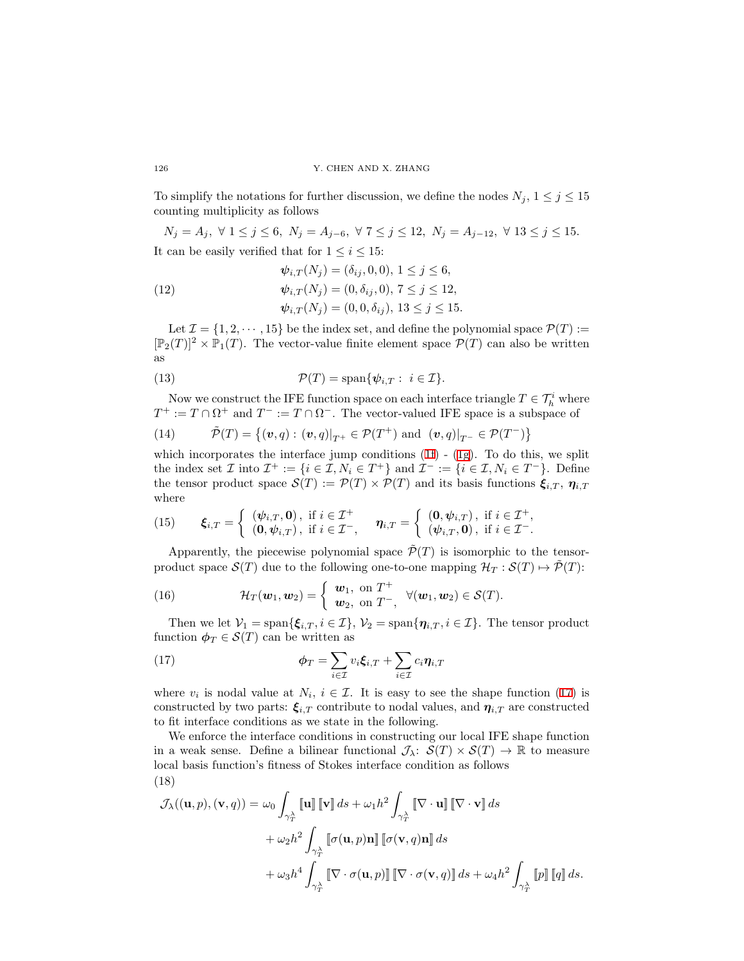To simplify the notations for further discussion, we define the nodes  $N_j$ ,  $1 \leq j \leq 15$ counting multiplicity as follows

$$
N_j = A_j, \ \forall \ 1 \leq j \leq 6, \ N_j = A_{j-6}, \ \forall \ 7 \leq j \leq 12, \ N_j = A_{j-12}, \ \forall \ 13 \leq j \leq 15.
$$
 It can be easily verified that for  $1 \leq i \leq 15$ :

(12) 
$$
\psi_{i,T}(N_j) = (\delta_{ij}, 0, 0), 1 \le j \le 6, \n\psi_{i,T}(N_j) = (0, \delta_{ij}, 0), 7 \le j \le 12, \n\psi_{i,T}(N_j) = (0, 0, \delta_{ij}), 13 \le j \le 15.
$$

Let  $\mathcal{I} = \{1, 2, \dots, 15\}$  be the index set, and define the polynomial space  $\mathcal{P}(T) :=$  $[\mathbb{P}_2(T)]^2 \times \mathbb{P}_1(T)$ . The vector-value finite element space  $\mathcal{P}(T)$  can also be written as

(13) 
$$
\mathcal{P}(T) = \text{span}\{\psi_{i,T} : i \in \mathcal{I}\}.
$$

Now we construct the IFE function space on each interface triangle  $T \in \mathcal{T}_h^i$  where  $T^+ := T \cap \Omega^+$  and  $T^- := T \cap \Omega^-$ . The vector-valued IFE space is a subspace of

(14) 
$$
\tilde{\mathcal{P}}(T) = \{(\boldsymbol{v}, q) : (\boldsymbol{v}, q)|_{T^+} \in \mathcal{P}(T^+) \text{ and } (\boldsymbol{v}, q)|_{T^-} \in \mathcal{P}(T^-)\}
$$

whichincorporates the interface jump conditions  $(1f)$  $(1f)$  -  $(1g)$  $(1g)$  $(1g)$ . To do this, we split the index set  $\mathcal I$  into  $\mathcal I^+ := \{i \in \mathcal I, N_i \in T^+\}$  and  $\mathcal I^- := \{i \in \mathcal I, N_i \in T^-\}$ . Define the tensor product space  $\mathcal{S}(T) := \mathcal{P}(T) \times \mathcal{P}(T)$  and its basis functions  $\xi_{i,T}$ ,  $\eta_{i,T}$ where

(15) 
$$
\boldsymbol{\xi}_{i,T} = \left\{ \begin{array}{ll} (\boldsymbol{\psi}_{i,T}, \mathbf{0}), \text{ if } i \in \mathcal{I}^+ \\ (\mathbf{0}, \boldsymbol{\psi}_{i,T}), \text{ if } i \in \mathcal{I}^-, \end{array} \right. \quad \boldsymbol{\eta}_{i,T} = \left\{ \begin{array}{ll} (\mathbf{0}, \boldsymbol{\psi}_{i,T}), \text{ if } i \in \mathcal{I}^+, \\ (\boldsymbol{\psi}_{i,T}, \mathbf{0}), \text{ if } i \in \mathcal{I}^-.\end{array} \right.
$$

Apparently, the piecewise polynomial space  $\tilde{\mathcal{P}}(T)$  is isomorphic to the tensorproduct space  $\mathcal{S}(T)$  due to the following one-to-one mapping  $\mathcal{H}_T : \mathcal{S}(T) \mapsto \mathcal{P}(T)$ :

(16) 
$$
\mathcal{H}_T(\boldsymbol{w}_1,\boldsymbol{w}_2)=\begin{cases} \boldsymbol{w}_1, \text{ on } T^+\\ \boldsymbol{w}_2, \text{ on } T^-, \end{cases} \forall (\boldsymbol{w}_1,\boldsymbol{w}_2)\in \mathcal{S}(T).
$$

Then we let  $V_1 = \text{span}\{\xi_{i,T}, i \in \mathcal{I}\}, V_2 = \text{span}\{\eta_{i,T}, i \in \mathcal{I}\}.$  The tensor product function  $\phi_T \in \mathcal{S}(T)$  can be written as

<span id="page-6-0"></span>(17) 
$$
\phi_T = \sum_{i \in \mathcal{I}} v_i \xi_{i,T} + \sum_{i \in \mathcal{I}} c_i \eta_{i,T}
$$

where $v_i$  is nodal value at  $N_i$ ,  $i \in \mathcal{I}$ . It is easy to see the shape function ([17\)](#page-6-0) is constructed by two parts:  $\xi_{i,T}$  contribute to nodal values, and  $\eta_{i,T}$  are constructed to fit interface conditions as we state in the following.

We enforce the interface conditions in constructing our local IFE shape function in a weak sense. Define a bilinear functional  $\mathcal{J}_{\lambda}$ :  $\mathcal{S}(T) \times \mathcal{S}(T) \to \mathbb{R}$  to measure local basis function's fitness of Stokes interface condition as follows (18)

<span id="page-6-1"></span>
$$
\mathcal{J}_{\lambda}((\mathbf{u},p),(\mathbf{v},q)) = \omega_0 \int_{\gamma_T^{\lambda}} [\![\mathbf{u}]\!] \, [\![\mathbf{v}]\!] \, ds + \omega_1 h^2 \int_{\gamma_T^{\lambda}} [\![\nabla \cdot \mathbf{u}]\!] \, [\![\nabla \cdot \mathbf{v}]\!] \, ds
$$

$$
+ \omega_2 h^2 \int_{\gamma_T^{\lambda}} [\![\sigma(\mathbf{u},p)\mathbf{n}]\!] \, [\![\sigma(\mathbf{v},q)\mathbf{n}]\!] \, ds
$$

$$
+ \omega_3 h^4 \int_{\gamma_T^{\lambda}} [\![\nabla \cdot \sigma(\mathbf{u},p)]\!] \, [\![\nabla \cdot \sigma(\mathbf{v},q)]\!] \, ds + \omega_4 h^2 \int_{\gamma_T^{\lambda}} [\![p]\!] \, [\![q]\!] \, ds.
$$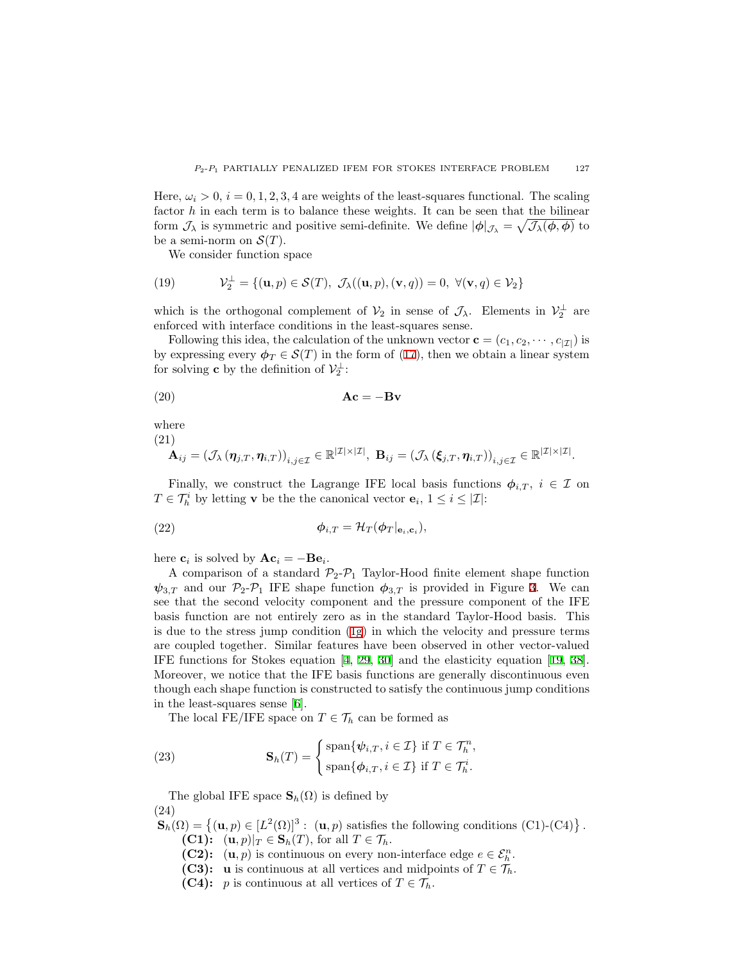Here,  $\omega_i > 0$ ,  $i = 0, 1, 2, 3, 4$  are weights of the least-squares functional. The scaling factor *h* in each term is to balance these weights. It can be seen that the bilinear form  $\mathcal{J}_\lambda$  is symmetric and positive semi-definite. We define  $|\phi|_{\mathcal{J}_\lambda} = \sqrt{\mathcal{J}_\lambda(\phi, \phi)}$  to be a semi-norm on  $\mathcal{S}(T)$ .

We consider function space

(19) 
$$
\mathcal{V}_2^{\perp} = \{(\mathbf{u}, p) \in \mathcal{S}(T), \ \mathcal{J}_\lambda((\mathbf{u}, p), (\mathbf{v}, q)) = 0, \ \forall (\mathbf{v}, q) \in \mathcal{V}_2\}
$$

which is the orthogonal complement of  $V_2$  in sense of  $\mathcal{J}_\lambda$ . Elements in  $V_2^{\perp}$  are enforced with interface conditions in the least-squares sense.

Following this idea, the calculation of the unknown vector  $\mathbf{c} = (c_1, c_2, \dots, c_{|\mathcal{I}|})$  is by expressing every  $\phi_T \in \mathcal{S}(T)$  in the form of [\(17](#page-6-0)), then we obtain a linear system for solving **c** by the definition of  $\mathcal{V}_2^{\perp}$ :

<span id="page-7-0"></span>
$$
Ac = -Bv
$$

where

(21)

$$
\mathbf{A}_{ij} = \left(\mathcal{J}_{\lambda} \left(\boldsymbol{\eta}_{j,T}, \boldsymbol{\eta}_{i,T}\right)\right)_{i,j \in \mathcal{I}} \in \mathbb{R}^{|\mathcal{I}| \times |\mathcal{I}|}, \ \mathbf{B}_{ij} = \left(\mathcal{J}_{\lambda} \left(\boldsymbol{\xi}_{j,T}, \boldsymbol{\eta}_{i,T}\right)\right)_{i,j \in \mathcal{I}} \in \mathbb{R}^{|\mathcal{I}| \times |\mathcal{I}|}.
$$

Finally, we construct the Lagrange IFE local basis functions  $\phi_{i,T}$ ,  $i \in \mathcal{I}$  on  $T \in \mathcal{T}_h^i$  by letting **v** be the the canonical vector **e**<sub>*i*</sub>,  $1 \leq i \leq |\mathcal{I}|$ :

(22) 
$$
\phi_{i,T} = \mathcal{H}_T(\phi_T|_{\mathbf{e}_i,\mathbf{c}_i}),
$$

here  $\mathbf{c}_i$  is solved by  $\mathbf{Ac}_i = -\mathbf{Be}_i$ .

A comparison of a standard  $P_2$ - $P_1$  Taylor-Hood finite element shape function  $\psi_{3,T}$  $\psi_{3,T}$  $\psi_{3,T}$  and our  $\mathcal{P}_{2}$ - $\mathcal{P}_{1}$  IFE shape function  $\phi_{3,T}$  is provided in Figure 3. We can see that the second velocity component and the pressure component of the IFE basis function are not entirely zero as in the standard Taylor-Hood basis. This is due to the stress jump condition [\(1g](#page-0-1)) in which the velocity and pressure terms are coupled together. Similar features have been observed in other vector-valued IFE functions for Stokes equation[[4,](#page-19-5) [29,](#page-20-17) [30](#page-20-2)] and the elasticity equation[[19](#page-20-7), [38\]](#page-21-1). Moreover, we notice that the IFE basis functions are generally discontinuous even though each shape function is constructed to satisfy the continuous jump conditions in the least-squares sense [\[6](#page-19-4)].

The local FE/IFE space on  $T \in \mathcal{T}_h$  can be formed as

(23) 
$$
\mathbf{S}_{h}(T) = \begin{cases} \text{span}\{\psi_{i,T}, i \in \mathcal{I}\} \text{ if } T \in \mathcal{T}_{h}^{n}, \\ \text{span}\{\phi_{i,T}, i \in \mathcal{I}\} \text{ if } T \in \mathcal{T}_{h}^{i}.\end{cases}
$$

The global IFE space  $\mathbf{S}_h(\Omega)$  is defined by (24)

 $\mathbf{S}_h(\Omega) = \{(\mathbf{u}, p) \in [L^2(\Omega)]^3 : (\mathbf{u}, p) \text{ satisfies the following conditions (C1)-(C4)}\}.$ **(C1):**  $(\mathbf{u}, p)|_T \in \mathbf{S}_h(T)$ , for all  $T \in \mathcal{T}_h$ .

- **(C2):**  $(\mathbf{u}, p)$  is continuous on every non-interface edge  $e \in \mathcal{E}_h^n$ .
- **(C3): u** is continuous at all vertices and midpoints of  $T \in \mathcal{T}_h$ .
- **(C4):** *p* is continuous at all vertices of  $T \in \mathcal{T}_h$ .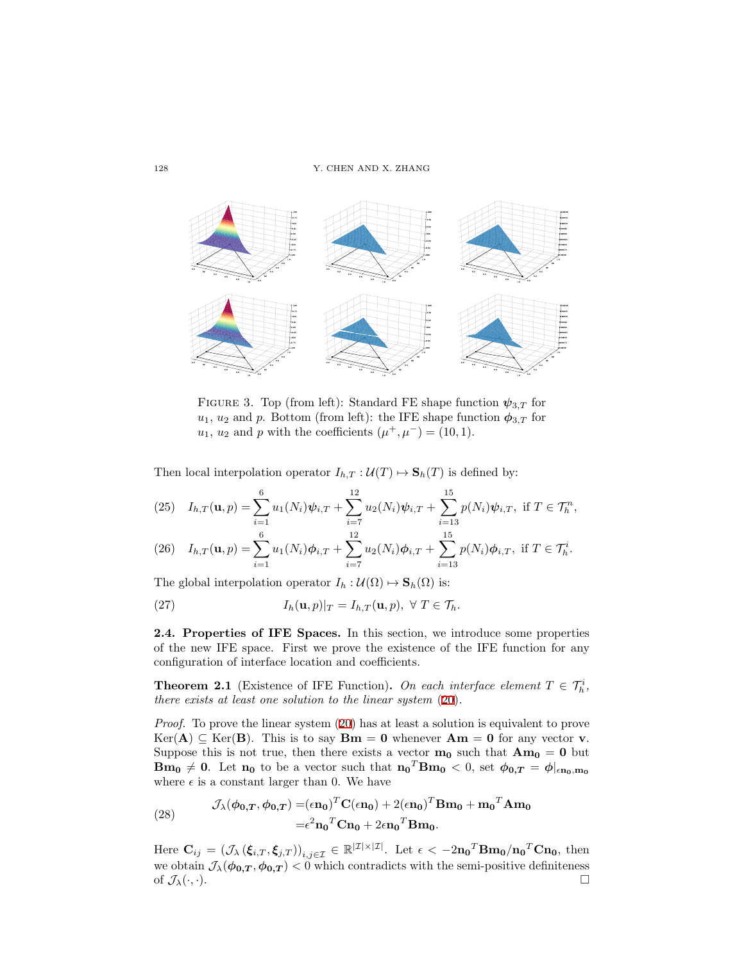<span id="page-8-0"></span>

FIGURE 3. Top (from left): Standard FE shape function  $\psi_{3,T}$  for  $u_1, u_2$  and *p*. Bottom (from left): the IFE shape function  $\phi_{3,T}$  for *u*<sub>1</sub>, *u*<sub>2</sub> and *p* with the coefficients  $(\mu^+, \mu^-) = (10, 1)$ .

Then local interpolation operator  $I_{h,T}: \mathcal{U}(T) \mapsto \mathbf{S}_h(T)$  is defined by:

(25) 
$$
I_{h,T}(\mathbf{u},p) = \sum_{i=1}^{6} u_1(N_i)\psi_{i,T} + \sum_{i=7}^{12} u_2(N_i)\psi_{i,T} + \sum_{i=13}^{15} p(N_i)\psi_{i,T}, \text{ if } T \in \mathcal{T}_h^n,
$$

(26) 
$$
I_{h,T}(\mathbf{u},p) = \sum_{i=1}^{6} u_1(N_i)\phi_{i,T} + \sum_{i=7}^{12} u_2(N_i)\phi_{i,T} + \sum_{i=13}^{15} p(N_i)\phi_{i,T}, \text{ if } T \in \mathcal{T}_h^i.
$$

The global interpolation operator  $I_h : \mathcal{U}(\Omega) \mapsto \mathbf{S}_h(\Omega)$  is:

(27) 
$$
I_h(\mathbf{u},p)|_T = I_{h,T}(\mathbf{u},p), \ \forall \ T \in \mathcal{T}_h.
$$

**2.4. Properties of IFE Spaces.** In this section, we introduce some properties of the new IFE space. First we prove the existence of the IFE function for any configuration of interface location and coefficients.

**Theorem 2.1** (Existence of IFE Function). On each interface element  $T \in \mathcal{T}_h^i$ , *there exists at least one solution to the linear system* ([20\)](#page-7-0)*.*

*Proof.* To prove the linear system [\(20](#page-7-0)) has at least a solution is equivalent to prove  $Ker(A) ⊆ Ker(B)$ . This is to say **Bm** = **0** whenever **Am** = **0** for any vector **v**. Suppose this is not true, then there exists a vector  $\mathbf{m_0}$  such that  $\mathbf{Am_0} = \mathbf{0}$  but  $Bm_0 \neq 0$ . Let  $n_0$  to be a vector such that  $n_0^T Bm_0 < 0$ , set  $\phi_{0,T} = \phi|_{\epsilon n_0, m_0}$ where  $\epsilon$  is a constant larger than 0. We have

(28) 
$$
\mathcal{J}_{\lambda}(\phi_{0,T}, \phi_{0,T}) = (\epsilon \mathbf{n}_0)^T \mathbf{C}(\epsilon \mathbf{n}_0) + 2(\epsilon \mathbf{n}_0)^T \mathbf{B} \mathbf{m}_0 + \mathbf{m}_0^T \mathbf{A} \mathbf{m}_0
$$

$$
= \epsilon^2 \mathbf{n}_0^T \mathbf{C} \mathbf{n}_0 + 2\epsilon \mathbf{n}_0^T \mathbf{B} \mathbf{m}_0.
$$

Here  $\mathbf{C}_{ij} = (\mathcal{J}_{\lambda}(\xi_{i,T}, \xi_{j,T}))_{i,j \in \mathcal{I}} \in \mathbb{R}^{|\mathcal{I}| \times |\mathcal{I}|}$ . Let  $\epsilon < -2\mathbf{n_0}^T \mathbf{B} \mathbf{m_0} / \mathbf{n_0}^T \mathbf{C} \mathbf{n_0}$ , then we obtain  $\mathcal{J}_{\lambda}(\phi_{0,T}, \phi_{0,T}) < 0$  which contradicts with the semi-positive definiteness of  $\mathcal{J}_{\lambda}(\cdot,\cdot)$ .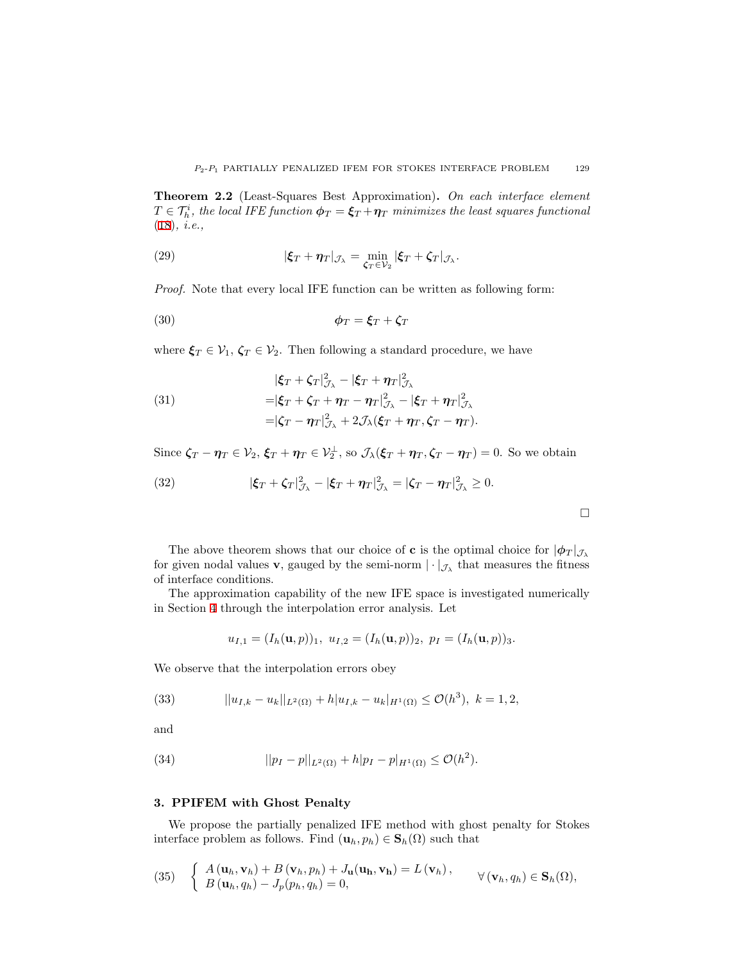**Theorem 2.2** (Least-Squares Best Approximation)**.** *On each interface element*  $T \in \mathcal{T}_h^i$ , the local IFE function  $\boldsymbol{\phi}_T = \boldsymbol{\xi}_T + \boldsymbol{\eta}_T$  *minimizes the least squares functional* ([18\)](#page-6-1)*, i.e.,*

(29) 
$$
|\xi_T + \eta_T|_{\mathcal{J}_\lambda} = \min_{\zeta_T \in \mathcal{V}_2} |\xi_T + \zeta_T|_{\mathcal{J}_\lambda}.
$$

*Proof.* Note that every local IFE function can be written as following form:

$$
\phi_T = \xi_T + \zeta_T
$$

where  $\xi_T \in V_1$ ,  $\zeta_T \in V_2$ . Then following a standard procedure, we have

(31)  
\n
$$
\begin{aligned}\n &|\xi_T + \zeta_T|_{\mathcal{J}_\lambda}^2 - |\xi_T + \eta_T|_{\mathcal{J}_\lambda}^2 \\
&= |\xi_T + \zeta_T + \eta_T - \eta_T|_{\mathcal{J}_\lambda}^2 - |\xi_T + \eta_T|_{\mathcal{J}_\lambda}^2 \\
&= |\zeta_T - \eta_T|_{\mathcal{J}_\lambda}^2 + 2\mathcal{J}_\lambda(\xi_T + \eta_T, \zeta_T - \eta_T).\n\end{aligned}
$$

Since  $\zeta_T - \eta_T \in \mathcal{V}_2$ ,  $\xi_T + \eta_T \in \mathcal{V}_2^{\perp}$ , so  $\mathcal{J}_{\lambda}(\xi_T + \eta_T, \zeta_T - \eta_T) = 0$ . So we obtain

(32) 
$$
|\xi_T + \zeta_T|_{\mathcal{J}_{\lambda}}^2 - |\xi_T + \eta_T|_{\mathcal{J}_{\lambda}}^2 = |\zeta_T - \eta_T|_{\mathcal{J}_{\lambda}}^2 \geq 0.
$$

The above theorem shows that our choice of **c** is the optimal choice for  $|\phi_T|_{\mathcal{J}_\lambda}$ for given nodal values **v**, gauged by the semi-norm  $|\cdot|_{\mathcal{J}_\lambda}$  that measures the fitness of interface conditions.

 $\Box$ 

The approximation capability of the new IFE space is investigated numerically in Section [4](#page-11-0) through the interpolation error analysis. Let

<span id="page-9-2"></span>
$$
u_{I,1} = (I_h(\mathbf{u}, p))_1, \ u_{I,2} = (I_h(\mathbf{u}, p))_2, \ p_I = (I_h(\mathbf{u}, p))_3.
$$

We observe that the interpolation errors obey

(33) 
$$
||u_{I,k} - u_k||_{L^2(\Omega)} + h|u_{I,k} - u_k|_{H^1(\Omega)} \leq \mathcal{O}(h^3), \ k = 1, 2,
$$

and

<span id="page-9-3"></span>(34) 
$$
||p_I - p||_{L^2(\Omega)} + h|p_I - p|_{H^1(\Omega)} \leq \mathcal{O}(h^2).
$$

### <span id="page-9-0"></span>**3. PPIFEM with Ghost Penalty**

We propose the partially penalized IFE method with ghost penalty for Stokes interface problem as follows. Find  $(\mathbf{u}_h, p_h) \in \mathbf{S}_h(\Omega)$  such that

<span id="page-9-1"></span>(35) 
$$
\begin{cases} A(\mathbf{u}_h, \mathbf{v}_h) + B(\mathbf{v}_h, p_h) + J_{\mathbf{u}}(\mathbf{u}_h, \mathbf{v}_h) = L(\mathbf{v}_h), \\ B(\mathbf{u}_h, q_h) - J_p(p_h, q_h) = 0, \end{cases} \forall (\mathbf{v}_h, q_h) \in \mathbf{S}_h(\Omega),
$$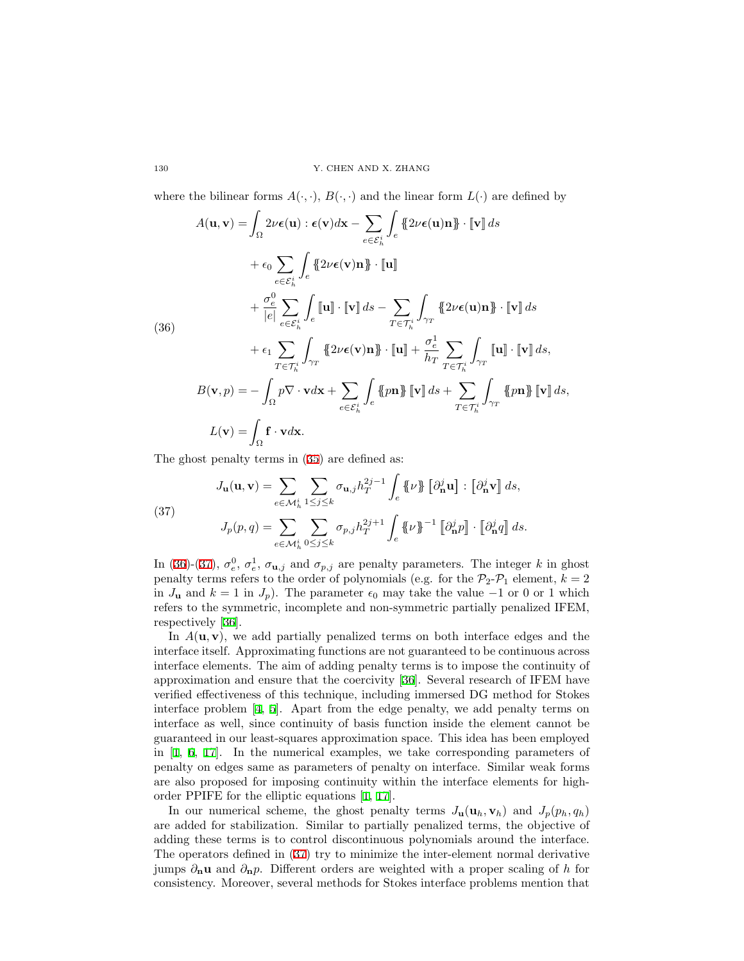where the bilinear forms  $A(\cdot, \cdot)$ ,  $B(\cdot, \cdot)$  and the linear form  $L(\cdot)$  are defined by

<span id="page-10-0"></span>
$$
A(\mathbf{u}, \mathbf{v}) = \int_{\Omega} 2\nu \epsilon(\mathbf{u}) : \epsilon(\mathbf{v}) d\mathbf{x} - \sum_{e \in \mathcal{E}_h^i} \int_e \{ 2\nu \epsilon(\mathbf{u}) \mathbf{n} \} \cdot [\mathbf{v}] ds
$$
  
+  $\epsilon_0 \sum_{e \in \mathcal{E}_h^i} \int_e \{ 2\nu \epsilon(\mathbf{v}) \mathbf{n} \} \cdot [\mathbf{u}]$   
+  $\frac{\sigma_e^0}{|e|} \sum_{e \in \mathcal{E}_h^i} \int_e [\![\mathbf{u}]\!] \cdot [\![\mathbf{v}]\!] ds - \sum_{T \in \mathcal{T}_h^i} \int_{\gamma_T} \{ 2\nu \epsilon(\mathbf{u}) \mathbf{n} \} \cdot [\![\mathbf{v}]\!] ds$   
(36)  
+  $\epsilon_1 \sum_{T \in \mathcal{T}_h^i} \int_{\gamma_T} \{ 2\nu \epsilon(\mathbf{v}) \mathbf{n} \} \cdot [\![\mathbf{u}]\!] + \frac{\sigma_e^1}{h_T} \sum_{T \in \mathcal{T}_h^i} \int_{\gamma_T} [\![\mathbf{u}]\!] \cdot [\![\mathbf{v}]\!] ds$ ,  
 $B(\mathbf{v}, p) = -\int_{\Omega} p \nabla \cdot \mathbf{v} d\mathbf{x} + \sum_{e \in \mathcal{E}_h^i} \int_e \{p \mathbf{n} \} [\![\mathbf{v}]\!] ds + \sum_{T \in \mathcal{T}_h^i} \int_{\gamma_T} \{p \mathbf{n} \} [\![\mathbf{v}]\!] ds$ ,  
 $L(\mathbf{v}) = \int_{\Omega} \mathbf{f} \cdot \mathbf{v} d\mathbf{x}.$ 

The ghost penalty terms in([35\)](#page-9-1) are defined as:

<span id="page-10-1"></span>(37)  

$$
J_{\mathbf{u}}(\mathbf{u}, \mathbf{v}) = \sum_{e \in \mathcal{M}_h^i} \sum_{1 \le j \le k} \sigma_{\mathbf{u},j} h_T^{2j-1} \int_e \{\!\!\{\nu\}\!\!\} \left[\partial_{\mathbf{n}}^j \mathbf{u}\right] : \left[\partial_{\mathbf{n}}^j \mathbf{v}\right] ds,
$$

$$
J_p(p,q) = \sum_{e \in \mathcal{M}_h^i} \sum_{0 \le j \le k} \sigma_{p,j} h_T^{2j+1} \int_e \{\!\!\{\nu\}\!\!\}^{-1} \left[\partial_{\mathbf{n}}^j p\right] \cdot \left[\partial_{\mathbf{n}}^j q\right] ds.
$$

In [\(36](#page-10-0))-[\(37](#page-10-1)),  $\sigma_e^0$ ,  $\sigma_e^1$ ,  $\sigma_{\mathbf{u},j}$  and  $\sigma_{p,j}$  are penalty parameters. The integer *k* in ghost penalty terms refers to the order of polynomials (e.g. for the  $\mathcal{P}_2\text{-}\mathcal{P}_1$  element,  $k=2$ in *J***u** and  $k = 1$  in *J*<sub>*p*</sub>). The parameter  $\epsilon_0$  may take the value −1 or 0 or 1 which refers to the symmetric, incomplete and non-symmetric partially penalized IFEM, respectively[[36\]](#page-21-3).

In  $A(\mathbf{u}, \mathbf{v})$ , we add partially penalized terms on both interface edges and the interface itself. Approximating functions are not guaranteed to be continuous across interface elements. The aim of adding penalty terms is to impose the continuity of approximation and ensure that the coercivity [\[36](#page-21-3)]. Several research of IFEM have verified effectiveness of this technique, including immersed DG method for Stokes interface problem [\[4](#page-19-5), [5](#page-19-0)]. Apart from the edge penalty, we add penalty terms on interface as well, since continuity of basis function inside the element cannot be guaranteed in our least-squares approximation space. This idea has been employed in[[1,](#page-19-11) [6](#page-19-4), [17\]](#page-20-9). In the numerical examples, we take corresponding parameters of penalty on edges same as parameters of penalty on interface. Similar weak forms are also proposed for imposing continuity within the interface elements for highorder PPIFE for the elliptic equations[[1,](#page-19-11) [17\]](#page-20-9).

In our numerical scheme, the ghost penalty terms  $J_{\mathbf{u}}(\mathbf{u}_h, \mathbf{v}_h)$  and  $J_p(p_h, q_h)$ are added for stabilization. Similar to partially penalized terms, the objective of adding these terms is to control discontinuous polynomials around the interface. The operators defined in([37\)](#page-10-1) try to minimize the inter-element normal derivative jumps *∂***nu** and *∂***n***p*. Different orders are weighted with a proper scaling of *h* for consistency. Moreover, several methods for Stokes interface problems mention that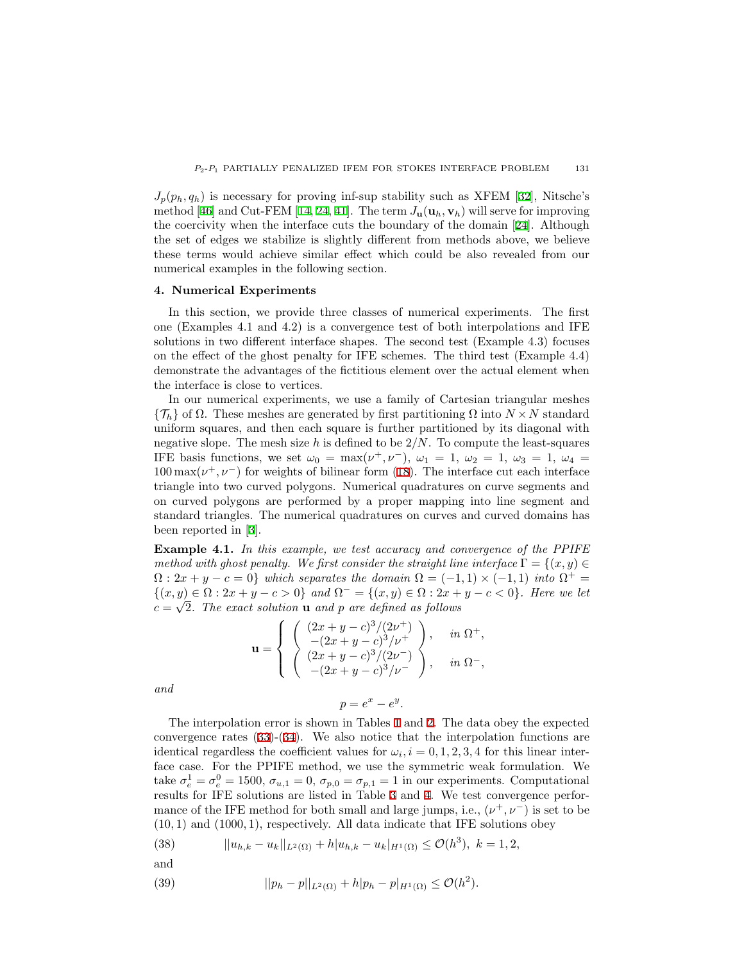$J_p(p_h, q_h)$  $J_p(p_h, q_h)$  $J_p(p_h, q_h)$  is necessary for proving inf-sup stability such as XFEM [[32\]](#page-20-19), Nitsche's method[[46\]](#page-21-13) and Cut-FEM [\[14](#page-20-20), [24](#page-20-15), [41](#page-21-14)]. The term  $J_{\mathbf{u}}(\mathbf{u}_h, \mathbf{v}_h)$  will serve for improving the coercivity when the interface cuts the boundary of the domain[[24](#page-20-15)]. Although the set of edges we stabilize is slightly different from methods above, we believe these terms would achieve similar effect which could be also revealed from our numerical examples in the following section.

#### <span id="page-11-0"></span>**4. Numerical Experiments**

In this section, we provide three classes of numerical experiments. The first one (Examples 4.1 and 4.2) is a convergence test of both interpolations and IFE solutions in two different interface shapes. The second test (Example 4.3) focuses on the effect of the ghost penalty for IFE schemes. The third test (Example 4.4) demonstrate the advantages of the fictitious element over the actual element when the interface is close to vertices.

In our numerical experiments, we use a family of Cartesian triangular meshes  ${\{\mathcal{T}_h\}}$  of  $\Omega$ . These meshes are generated by first partitioning  $\Omega$  into  $N \times N$  standard uniform squares, and then each square is further partitioned by its diagonal with negative slope. The mesh size *h* is defined to be 2*/N*. To compute the least-squares IFE basis functions, we set  $\omega_0 = \max(\nu^+, \nu^-)$ ,  $\omega_1 = 1$ ,  $\omega_2 = 1$ ,  $\omega_3 = 1$ ,  $\omega_4 =$  $100 \max(\nu^+, \nu^-)$  $100 \max(\nu^+, \nu^-)$  $100 \max(\nu^+, \nu^-)$  for weights of bilinear form ([18\)](#page-6-1). The interface cut each interface triangle into two curved polygons. Numerical quadratures on curve segments and on curved polygons are performed by a proper mapping into line segment and standard triangles. The numerical quadratures on curves and curved domains has been reported in[[3\]](#page-19-9).

<span id="page-11-1"></span>**Example 4.1.** *In this example, we test accuracy and convergence of the PPIFE method with ghost penalty. We first consider the straight line interface*  $\Gamma = \{(x, y) \in$  $\Omega: 2x + y - c = 0$ } which separates the domain  $\Omega = (-1, 1) \times (-1, 1)$  into  $\Omega^+ =$ *{*(*x, y*)  $\in \Omega$  : 2*x* + *y* − *c* > 0} and  $\Omega$ <sup>−</sup> = {(*x, y*)  $\in \Omega$  : 2*x* + *y* − *c* < 0}*. Here we let*  $c = \sqrt{2}$ . The exact solution **u** and *p* are defined as follows

$$
\mathbf{u} = \begin{cases} \begin{pmatrix} (2x + y - c)^3/(2\nu^+) \\ -(2x + y - c)^3/\nu^+ \\ (2x + y - c)^3/(2\nu^-) \\ -(2x + y - c)^3/\nu^- \end{pmatrix}, & \text{in } \Omega^-, \end{cases}
$$

*and*

 $p = e^x - e^y$ .

The interpolation error is shown in Tables [1](#page-12-0) and [2.](#page-12-1) The data obey the expected convergence rates [\(33](#page-9-2))-[\(34](#page-9-3)). We also notice that the interpolation functions are identical regardless the coefficient values for  $\omega_i$ ,  $i = 0, 1, 2, 3, 4$  for this linear interface case. For the PPIFE method, we use the symmetric weak formulation. We take  $\sigma_e^1 = \sigma_e^0 = 1500$ ,  $\sigma_{u,1} = 0$ ,  $\sigma_{p,0} = \sigma_{p,1} = 1$  in our experiments. Computational results for IFE solutions are listed in Table [3](#page-13-0) and [4.](#page-13-1) We test convergence performance of the IFE method for both small and large jumps, i.e.,  $(\nu^+, \nu^-)$  is set to be (10*,* 1) and (1000*,* 1), respectively. All data indicate that IFE solutions obey

(38) 
$$
||u_{h,k} - u_k||_{L^2(\Omega)} + h|u_{h,k} - u_k|_{H^1(\Omega)} \leq \mathcal{O}(h^3), \ k = 1, 2,
$$

and

(39) 
$$
||p_h - p||_{L^2(\Omega)} + h|p_h - p|_{H^1(\Omega)} \leq \mathcal{O}(h^2).
$$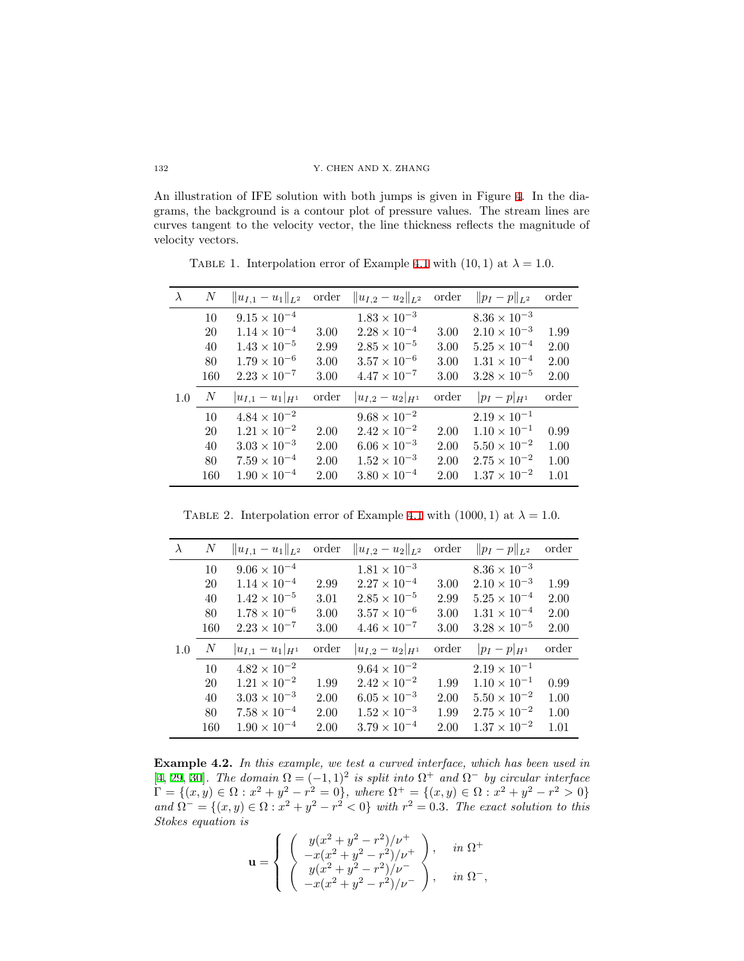An illustration of IFE solution with both jumps is given in Figure [4](#page-13-2). In the diagrams, the background is a contour plot of pressure values. The stream lines are curves tangent to the velocity vector, the line thickness reflects the magnitude of velocity vectors.

<span id="page-12-0"></span>TABLE 1. Interpolation error of Example [4.1](#page-11-1) with  $(10, 1)$  at  $\lambda = 1.0$ .

| $\lambda$ | $\boldsymbol{N}$ | $  u_{I,1}-u_1  _{L^2}$ | order | $  u_{I,2}-u_2  _{L^2}$ | order | $  p_I - p  _{L^2}$   | order |
|-----------|------------------|-------------------------|-------|-------------------------|-------|-----------------------|-------|
|           | 10               | $9.15 \times 10^{-4}$   |       | $1.83 \times 10^{-3}$   |       | $8.36 \times 10^{-3}$ |       |
|           | 20               | $1.14 \times 10^{-4}$   | 3.00  | $2.28 \times 10^{-4}$   | 3.00  | $2.10 \times 10^{-3}$ | 1.99  |
|           | 40               | $1.43 \times 10^{-5}$   | 2.99  | $2.85 \times 10^{-5}$   | 3.00  | $5.25 \times 10^{-4}$ | 2.00  |
|           | 80               | $1.79 \times 10^{-6}$   | 3.00  | $3.57 \times 10^{-6}$   | 3.00  | $1.31 \times 10^{-4}$ | 2.00  |
|           | 160              | $2.23 \times 10^{-7}$   | 3.00  | $4.47 \times 10^{-7}$   | 3.00  | $3.28 \times 10^{-5}$ | 2.00  |
| 1.0       | $\boldsymbol{N}$ | $ u_{I,1}-u_1 _{H^1}$   | order | $ u_{I,2}-u_2 _{H^1}$   | order | $ p_I - p _{H^1}$     | order |
|           | 10               | $4.84 \times 10^{-2}$   |       | $9.68 \times 10^{-2}$   |       | $2.19 \times 10^{-1}$ |       |
|           | 20               | $1.21 \times 10^{-2}$   | 2.00  | $2.42 \times 10^{-2}$   | 2.00  | $1.10 \times 10^{-1}$ | 0.99  |
|           | 40               | $3.03 \times 10^{-3}$   | 2.00  | $6.06 \times 10^{-3}$   | 2.00  | $5.50 \times 10^{-2}$ | 1.00  |
|           | 80               | $7.59 \times 10^{-4}$   | 2.00  | $1.52 \times 10^{-3}$   | 2.00  | $2.75 \times 10^{-2}$ | 1.00  |
|           | 160              | $1.90 \times 10^{-4}$   | 2.00  | $3.80 \times 10^{-4}$   | 2.00  | $1.37 \times 10^{-2}$ | 1.01  |

<span id="page-12-1"></span>TABLE 2. Interpolation error of Example [4.1](#page-11-1) with  $(1000, 1)$  at  $\lambda = 1.0$ .

|     | N      | $  u_{I,1}-u_1  _{L^2}$ | order | $  u_{I,2}-u_2  _{L^2}$ | order | $  p_I - p  _{L^2}$   | order |
|-----|--------|-------------------------|-------|-------------------------|-------|-----------------------|-------|
|     | 10     | $9.06 \times 10^{-4}$   |       | $1.81 \times 10^{-3}$   |       | $8.36 \times 10^{-3}$ |       |
|     | 20     | $1.14 \times 10^{-4}$   | 2.99  | $2.27 \times 10^{-4}$   | 3.00  | $2.10 \times 10^{-3}$ | 1.99  |
|     | 40     | $1.42 \times 10^{-5}$   | 3.01  | $2.85 \times 10^{-5}$   | 2.99  | $5.25 \times 10^{-4}$ | 2.00  |
|     | 80     | $1.78 \times 10^{-6}$   | 3.00  | $3.57 \times 10^{-6}$   | 3.00  | $1.31 \times 10^{-4}$ | 2.00  |
|     | 160    | $2.23 \times 10^{-7}$   | 3.00  | $4.46 \times 10^{-7}$   | 3.00  | $3.28 \times 10^{-5}$ | 2.00  |
| 1.0 | $_{N}$ | $ u_{I,1}-u_1 _{H^1}$   | order | $ u_{I,2}-u_2 _{H^1}$   | order | $ p_I - p _{H^1}$     | order |
|     | 10     | $4.82 \times 10^{-2}$   |       | $9.64 \times 10^{-2}$   |       | $2.19 \times 10^{-1}$ |       |
|     | 20     | $1.21 \times 10^{-2}$   | 1.99  | $2.42 \times 10^{-2}$   | 1.99  | $1.10 \times 10^{-1}$ | 0.99  |
|     | 40     | $3.03 \times 10^{-3}$   | 2.00  | $6.05 \times 10^{-3}$   | 2.00  | $5.50 \times 10^{-2}$ | 1.00  |
|     | 80     | $7.58 \times 10^{-4}$   | 2.00  | $1.52 \times 10^{-3}$   | 1.99  | $2.75 \times 10^{-2}$ | 1.00  |
|     | 160    | $1.90 \times 10^{-4}$   | 2.00  | $3.79 \times 10^{-4}$   | 2.00  | $1.37 \times 10^{-2}$ | 1.01  |

<span id="page-12-2"></span>**Example 4.2.** *In this example, we test a curved interface, which has been used in* [\[4](#page-19-5), [29](#page-20-17), [30](#page-20-2)]. The domain  $\Omega = (-1, 1)^2$  is split into  $\Omega^+$  and  $\Omega^-$  by circular interface  $\Gamma = \{(x, y) \in \Omega : x^2 + y^2 - r^2 = 0\}$ , where  $\Omega^+ = \{(x, y) \in \Omega : x^2 + y^2 - r^2 > 0\}$  $\partial^2 u = \{(x, y) \in \Omega : x^2 + y^2 - r^2 < 0\}$  with  $r^2 = 0.3$ . The exact solution to this *Stokes equation is*

$$
\mathbf{u} = \begin{cases} \begin{array}{c} y(x^2 + y^2 - r^2)/\nu^+ \\ -x(x^2 + y^2 - r^2)/\nu^+ \\ y(x^2 + y^2 - r^2)/\nu^- \\ -x(x^2 + y^2 - r^2)/\nu^- \end{array} \end{cases}, \quad \text{in $\Omega^-$},
$$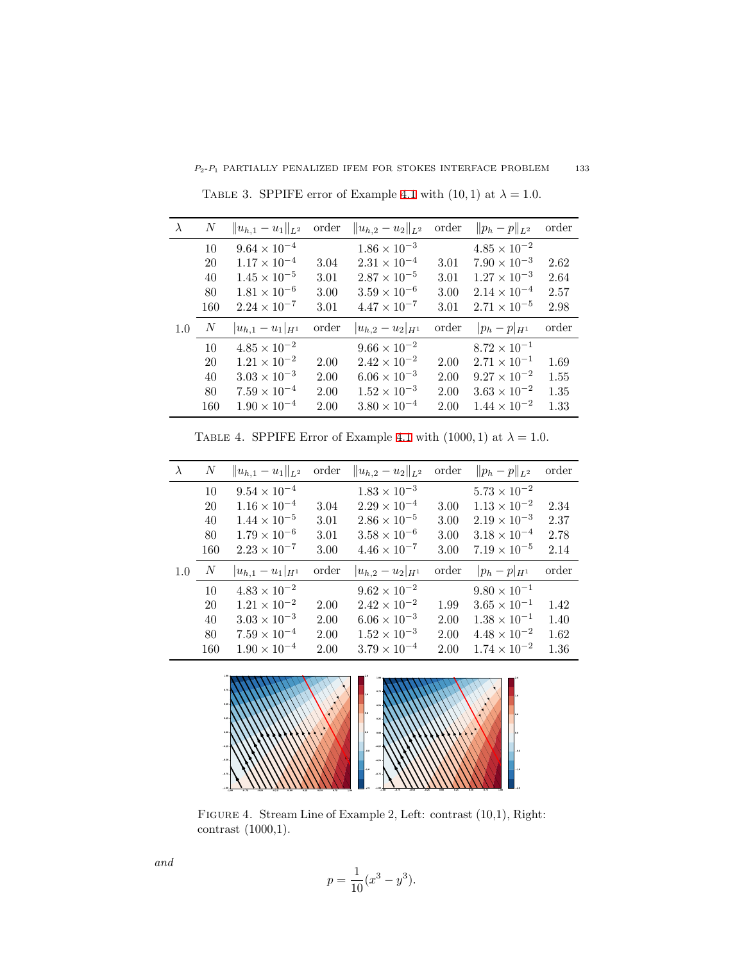<span id="page-13-0"></span>

|     | N   | $  u_{h,1}-u_1  _{L^2}$ | order | $  u_{h,2}-u_2  _{L^2}$ | order | $  p_h - p  _{L^2}$   | order |
|-----|-----|-------------------------|-------|-------------------------|-------|-----------------------|-------|
|     | 10  | $9.64 \times 10^{-4}$   |       | $1.86 \times 10^{-3}$   |       | $4.85 \times 10^{-2}$ |       |
|     | 20  | $1.17 \times 10^{-4}$   | 3.04  | $2.31 \times 10^{-4}$   | 3.01  | $7.90 \times 10^{-3}$ | 2.62  |
|     | 40  | $1.45 \times 10^{-5}$   | 3.01  | $2.87 \times 10^{-5}$   | 3.01  | $1.27 \times 10^{-3}$ | 2.64  |
|     | 80  | $1.81 \times 10^{-6}$   | 3.00  | $3.59 \times 10^{-6}$   | 3.00  | $2.14 \times 10^{-4}$ | 2.57  |
|     | 160 | $2.24 \times 10^{-7}$   | 3.01  | $4.47 \times 10^{-7}$   | 3.01  | $2.71 \times 10^{-5}$ | 2.98  |
| 1.0 | N   | $ u_{h,1}-u_1 _{H^1}$   | order | $ u_{h,2}-u_2 _{H^1}$   | order | $ p_h - p _{H^1}$     | order |
|     | 10  | $4.85 \times 10^{-2}$   |       | $9.66 \times 10^{-2}$   |       | $8.72 \times 10^{-1}$ |       |
|     | 20  | $1.21 \times 10^{-2}$   | 2.00  | $2.42 \times 10^{-2}$   | 2.00  | $2.71 \times 10^{-1}$ | 1.69  |
|     | 40  | $3.03 \times 10^{-3}$   | 2.00  | $6.06 \times 10^{-3}$   | 2.00  | $9.27 \times 10^{-2}$ | 1.55  |
|     | 80  | $7.59 \times 10^{-4}$   | 2.00  | $1.52 \times 10^{-3}$   | 2.00  | $3.63 \times 10^{-2}$ | 1.35  |
|     | 160 | $1.90 \times 10^{-4}$   | 2.00  | $3.80 \times 10^{-4}$   | 2.00  | $1.44 \times 10^{-2}$ | 1.33  |

TABLE 3. SPPIFE error of Example [4.1](#page-11-1) with  $(10, 1)$  at  $\lambda = 1.0$ .

TABLE 4. SPPIFE Error of Example [4.1](#page-11-1) with  $(1000, 1)$  at  $\lambda = 1.0$ .

<span id="page-13-1"></span>

| $\lambda$ | $\boldsymbol{N}$ | $  u_{h,1}-u_1  _{L^2}$ | order | $  u_{h,2}-u_2  _{L^2}$ | order    | $  p_h - p  _{L^2}$   | order |
|-----------|------------------|-------------------------|-------|-------------------------|----------|-----------------------|-------|
|           | 10               | $9.54 \times 10^{-4}$   |       | $1.83 \times 10^{-3}$   |          | $5.73 \times 10^{-2}$ |       |
|           | 20               | $1.16 \times 10^{-4}$   | 3.04  | $2.29 \times 10^{-4}$   | 3.00     | $1.13 \times 10^{-2}$ | 2.34  |
|           | 40               | $1.44 \times 10^{-5}$   | 3.01  | $2.86 \times 10^{-5}$   | 3.00     | $2.19 \times 10^{-3}$ | 2.37  |
|           | 80               | $1.79 \times 10^{-6}$   | 3.01  | $3.58 \times 10^{-6}$   | $3.00\,$ | $3.18 \times 10^{-4}$ | 2.78  |
|           | 160              | $2.23 \times 10^{-7}$   | 3.00  | $4.46 \times 10^{-7}$   | 3.00     | $7.19 \times 10^{-5}$ | 2.14  |
| 1.0       | N                | $ u_{h,1}-u_1 _{H^1}$   | order | $ u_{h,2}-u_2 _{H^1}$   | order    | $ p_h-p _{H^1}$       | order |
|           | 10               | $4.83 \times 10^{-2}$   |       | $9.62 \times 10^{-2}$   |          | $9.80 \times 10^{-1}$ |       |
|           | 20               | $1.21 \times 10^{-2}$   | 2.00  | $2.42 \times 10^{-2}$   | 1.99     | $3.65 \times 10^{-1}$ | 1.42  |
|           | 40               | $3.03 \times 10^{-3}$   | 2.00  | $6.06 \times 10^{-3}$   | 2.00     | $1.38 \times 10^{-1}$ | 1.40  |
|           | 80               | $7.59 \times 10^{-4}$   | 2.00  | $1.52 \times 10^{-3}$   | 2.00     | $4.48 \times 10^{-2}$ | 1.62  |
|           | 160              | $1.90 \times 10^{-4}$   | 2.00  | $3.79 \times 10^{-4}$   | 2.00     | $1.74 \times 10^{-2}$ | 1.36  |

<span id="page-13-2"></span>

Figure 4. Stream Line of Example 2, Left: contrast (10,1), Right: contrast (1000,1).

$$
p = \frac{1}{10}(x^3 - y^3).
$$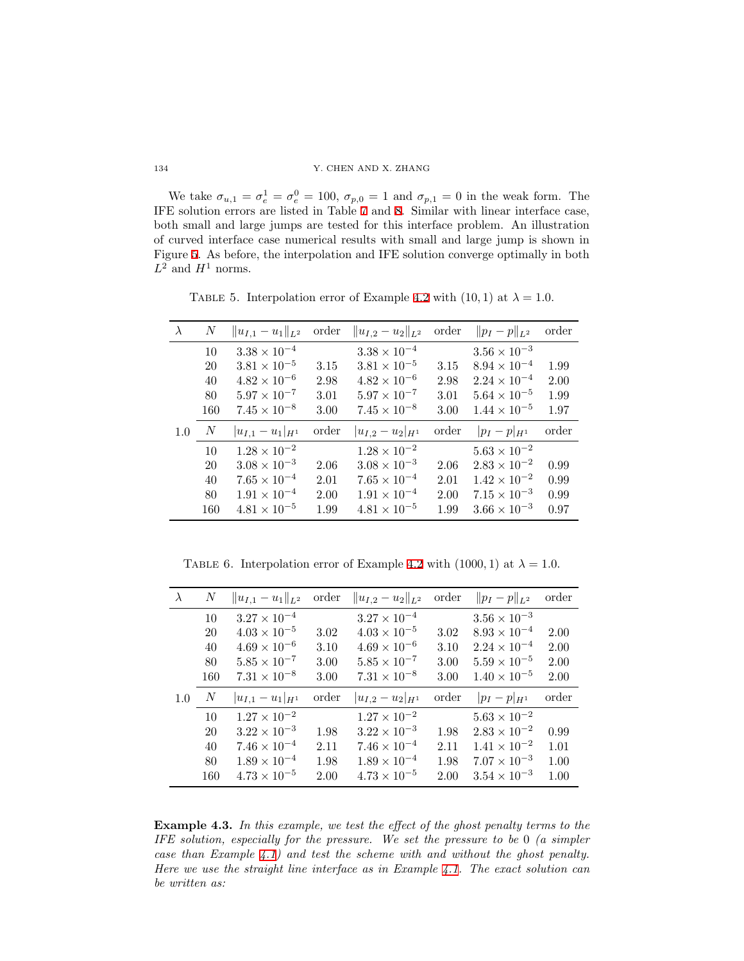We take  $\sigma_{u,1} = \sigma_e^1 = \sigma_e^0 = 100$ ,  $\sigma_{p,0} = 1$  and  $\sigma_{p,1} = 0$  in the weak form. The IFE solution errors are listed in Table [7](#page-15-0) and [8](#page-15-1). Similar with linear interface case, both small and large jumps are tested for this interface problem. An illustration of curved interface case numerical results with small and large jump is shown in Figure [5.](#page-15-2) As before, the interpolation and IFE solution converge optimally in both  $L^2$  and  $H^1$  norms.

TABLE 5. Interpolation error of Example [4.2](#page-12-2) with (10, 1) at  $\lambda = 1.0$ .

| $\lambda$ | $\boldsymbol{N}$ | $  u_{I,1}-u_1  _{L^2}$ | order | $  u_{I,2}-u_2  _{L^2}$ | order | $  p_I - p  _{L^2}$   | order |
|-----------|------------------|-------------------------|-------|-------------------------|-------|-----------------------|-------|
|           | 10               | $3.38 \times 10^{-4}$   |       | $3.38 \times 10^{-4}$   |       | $3.56 \times 10^{-3}$ |       |
|           | 20               | $3.81 \times 10^{-5}$   | 3.15  | $3.81 \times 10^{-5}$   | 3.15  | $8.94 \times 10^{-4}$ | 1.99  |
|           | 40               | $4.82 \times 10^{-6}$   | 2.98  | $4.82 \times 10^{-6}$   | 2.98  | $2.24 \times 10^{-4}$ | 2.00  |
|           | 80               | $5.97 \times 10^{-7}$   | 3.01  | $5.97 \times 10^{-7}$   | 3.01  | $5.64 \times 10^{-5}$ | 1.99  |
|           | 160              | $7.45 \times 10^{-8}$   | 3.00  | $7.45 \times 10^{-8}$   | 3.00  | $1.44 \times 10^{-5}$ | 1.97  |
| 1.0       | $_{N}$           | $ u_{I,1}-u_1 _{H^1}$   | order | $ u_{I,2}-u_2 _{H^1}$   | order | $ p_I - p _{H^1}$     | order |
|           | 10               | $1.28 \times 10^{-2}$   |       | $1.28 \times 10^{-2}$   |       | $5.63 \times 10^{-2}$ |       |
|           | 20               | $3.08 \times 10^{-3}$   | 2.06  | $3.08 \times 10^{-3}$   | 2.06  | $2.83 \times 10^{-2}$ | 0.99  |
|           | 40               | $7.65 \times 10^{-4}$   | 2.01  | $7.65 \times 10^{-4}$   | 2.01  | $1.42 \times 10^{-2}$ | 0.99  |
|           | 80               | $1.91 \times 10^{-4}$   | 2.00  | $1.91 \times 10^{-4}$   | 2.00  | $7.15 \times 10^{-3}$ | 0.99  |
|           | 160              | $4.81 \times 10^{-5}$   | 1.99  | $4.81 \times 10^{-5}$   | 1.99  | $3.66 \times 10^{-3}$ | 0.97  |

TABLE 6. Interpolation error of Example [4.2](#page-12-2) with  $(1000, 1)$  at  $\lambda = 1.0$ .

| $\lambda$ | $\boldsymbol{N}$ | $  u_{I,1}-u_1  _{L^2}$ | order | $  u_{I,2}-u_2  _{L^2}$ | order | $  p_I - p  _{L^2}$   | order |
|-----------|------------------|-------------------------|-------|-------------------------|-------|-----------------------|-------|
|           | 10               | $3.27 \times 10^{-4}$   |       | $3.27 \times 10^{-4}$   |       | $3.56 \times 10^{-3}$ |       |
|           | 20               | $4.03 \times 10^{-5}$   | 3.02  | $4.03 \times 10^{-5}$   | 3.02  | $8.93 \times 10^{-4}$ | 2.00  |
|           | 40               | $4.69 \times 10^{-6}$   | 3.10  | $4.69 \times 10^{-6}$   | 3.10  | $2.24 \times 10^{-4}$ | 2.00  |
|           | 80               | $5.85 \times 10^{-7}$   | 3.00  | $5.85 \times 10^{-7}$   | 3.00  | $5.59 \times 10^{-5}$ | 2.00  |
|           | 160              | $7.31 \times 10^{-8}$   | 3.00  | $7.31 \times 10^{-8}$   | 3.00  | $1.40 \times 10^{-5}$ | 2.00  |
| 1.0       | $\boldsymbol{N}$ | $ u_{I,1}-u_1 _{H^1}$   | order | $ u_{I,2}-u_2 _{H^1}$   | order | $ p_I - p _{H^1}$     | order |
|           | 10               | $1.27 \times 10^{-2}$   |       | $1.27 \times 10^{-2}$   |       | $5.63 \times 10^{-2}$ |       |
|           | 20               | $3.22 \times 10^{-3}$   | 1.98  | $3.22 \times 10^{-3}$   | 1.98  | $2.83 \times 10^{-2}$ | 0.99  |
|           | 40               | $7.46 \times 10^{-4}$   | 2.11  | $7.46 \times 10^{-4}$   | 2.11  | $1.41 \times 10^{-2}$ | 1.01  |
|           | 80               | $1.89 \times 10^{-4}$   | 1.98  | $1.89 \times 10^{-4}$   | 1.98  | $7.07 \times 10^{-3}$ | 1.00  |
|           | 160              | $4.73 \times 10^{-5}$   | 2.00  | $4.73 \times 10^{-5}$   | 2.00  | $3.54 \times 10^{-3}$ | 1.00  |

<span id="page-14-0"></span>**Example 4.3.** *In this example, we test the effect of the ghost penalty terms to the IFE solution, especially for the pressure. We set the pressure to be* 0 *(a simpler case than Example [4.1](#page-11-1)) and test the scheme with and without the ghost penalty. Here we use the straight line interface as in Example [4.1](#page-11-1). The exact solution can be written as:*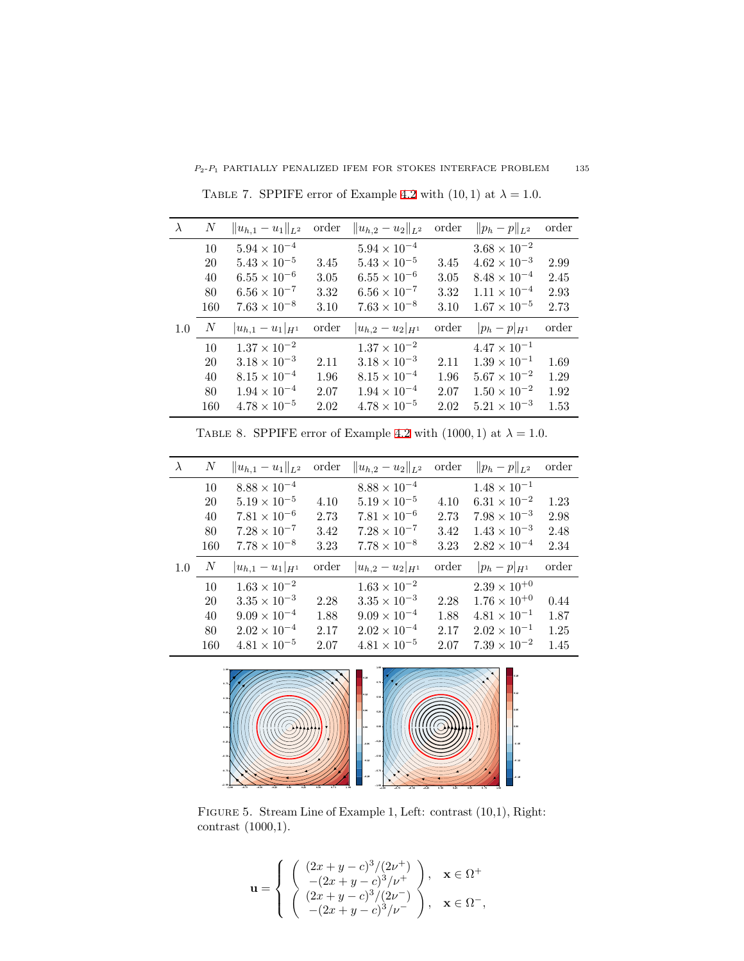<span id="page-15-0"></span>

| $\lambda$ | N                | $  u_{h,1}-u_1  _{L^2}$ | order | $  u_{h,2}-u_2  _{L^2}$ | order | $  p_h - p  _{L^2}$   | order |
|-----------|------------------|-------------------------|-------|-------------------------|-------|-----------------------|-------|
|           | 10               | $5.94 \times 10^{-4}$   |       | $5.94 \times 10^{-4}$   |       | $3.68 \times 10^{-2}$ |       |
|           | 20               | $5.43 \times 10^{-5}$   | 3.45  | $5.43 \times 10^{-5}$   | 3.45  | $4.62 \times 10^{-3}$ | 2.99  |
|           | 40               | $6.55 \times 10^{-6}$   | 3.05  | $6.55 \times 10^{-6}$   | 3.05  | $8.48 \times 10^{-4}$ | 2.45  |
|           | 80               | $6.56 \times 10^{-7}$   | 3.32  | $6.56 \times 10^{-7}$   | 3.32  | $1.11 \times 10^{-4}$ | 2.93  |
|           | 160              | $7.63 \times 10^{-8}$   | 3.10  | $7.63 \times 10^{-8}$   | 3.10  | $1.67 \times 10^{-5}$ | 2.73  |
| 1.0       | $\boldsymbol{N}$ | $ u_{h,1}-u_1 _{H^1}$   | order | $ u_{h,2}-u_2 _{H^1}$   | order | $ p_h - p _{H^1}$     | order |
|           | 10               | $1.37 \times 10^{-2}$   |       | $1.37 \times 10^{-2}$   |       | $4.47 \times 10^{-1}$ |       |
|           | 20               | $3.18 \times 10^{-3}$   | 2.11  | $3.18 \times 10^{-3}$   | 2.11  | $1.39 \times 10^{-1}$ | 1.69  |
|           | 40               | $8.15 \times 10^{-4}$   | 1.96  | $8.15 \times 10^{-4}$   | 1.96  | $5.67 \times 10^{-2}$ | 1.29  |
|           | 80               | $1.94 \times 10^{-4}$   | 2.07  | $1.94 \times 10^{-4}$   | 2.07  | $1.50 \times 10^{-2}$ | 1.92  |
|           | 160              | $4.78 \times 10^{-5}$   | 2.02  | $4.78 \times 10^{-5}$   | 2.02  | $5.21 \times 10^{-3}$ | 1.53  |

TABLE 7. SPPIFE error of Example [4.2](#page-12-2) with  $(10, 1)$  at  $\lambda = 1.0$ .

<span id="page-15-1"></span>

| $\lambda$ | $\boldsymbol{N}$ | $  u_{h,1}-u_1  _{L^2}$ | order | $  u_{h,2}-u_2  _{L^2}$ | order | $  p_h - p  _{L^2}$   | order |
|-----------|------------------|-------------------------|-------|-------------------------|-------|-----------------------|-------|
|           | 10               | $8.88 \times 10^{-4}$   |       | $8.88 \times 10^{-4}$   |       | $1.48 \times 10^{-1}$ |       |
|           | 20               | $5.19 \times 10^{-5}$   | 4.10  | $5.19 \times 10^{-5}$   | 4.10  | $6.31 \times 10^{-2}$ | 1.23  |
|           | 40               | $7.81 \times 10^{-6}$   | 2.73  | $7.81 \times 10^{-6}$   | 2.73  | $7.98 \times 10^{-3}$ | 2.98  |
|           | 80               | $7.28 \times 10^{-7}$   | 3.42  | $7.28 \times 10^{-7}$   | 3.42  | $1.43 \times 10^{-3}$ | 2.48  |
|           | 160              | $7.78 \times 10^{-8}$   | 3.23  | $7.78 \times 10^{-8}$   | 3.23  | $2.82 \times 10^{-4}$ | 2.34  |
| 1.0       | $\boldsymbol{N}$ | $ u_{h,1}-u_1 _{H^1}$   | order | $ u_{h,2}-u_2 _{H^1}$   | order | $ p_h - p _{H^1}$     | order |
|           | 10               | $1.63 \times 10^{-2}$   |       | $1.63 \times 10^{-2}$   |       | $2.39 \times 10^{+0}$ |       |
|           | 20               | $3.35 \times 10^{-3}$   | 2.28  | $3.35 \times 10^{-3}$   | 2.28  | $1.76 \times 10^{+0}$ | 0.44  |
|           | 40               | $9.09 \times 10^{-4}$   | 1.88  | $9.09 \times 10^{-4}$   | 1.88  | $4.81 \times 10^{-1}$ | 1.87  |
|           | 80               | $2.02 \times 10^{-4}$   | 2.17  | $2.02 \times 10^{-4}$   | 2.17  | $2.02 \times 10^{-1}$ | 1.25  |
|           | 160              | $4.81 \times 10^{-5}$   | 2.07  | $4.81 \times 10^{-5}$   | 2.07  | $7.39 \times 10^{-2}$ | 1.45  |

TABLE 8. SPPIFE error of Example [4.2](#page-12-2) with  $(1000, 1)$  at  $\lambda = 1.0$ .

<span id="page-15-2"></span>

Figure 5. Stream Line of Example 1, Left: contrast (10,1), Right: contrast (1000,1).

$$
\mathbf{u} = \begin{cases} \begin{array}{c} (2x + y - c)^3/(2\nu^+) \\ -(2x + y - c)^3/\nu^+ \\ (2x + y - c)^3/(2\nu^-) \\ -(2x + y - c)^3/\nu^- \end{array} \end{cases}, \quad \mathbf{x} \in \Omega^+,
$$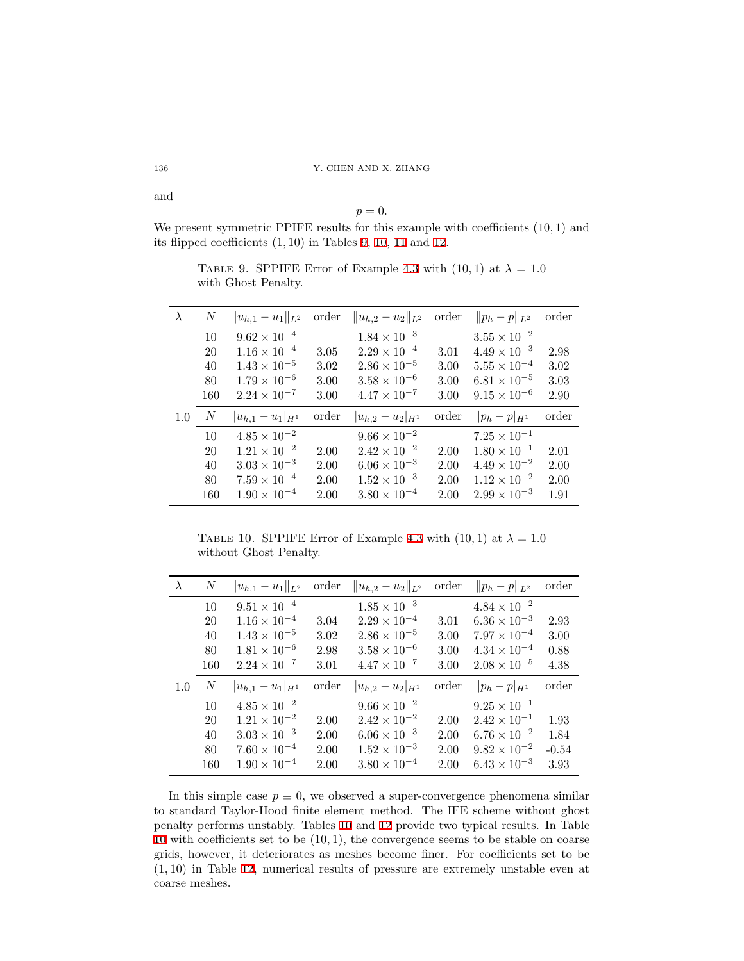$p = 0$ .

<span id="page-16-0"></span>We present symmetric PPIFE results for this example with coefficients (10*,* 1) and its flipped coefficients (1*,* 10) in Tables [9](#page-16-0), [10](#page-16-1), [11](#page-17-0) and [12](#page-17-1).

TABLE 9. SPPIFE Error of Example [4.3](#page-14-0) with  $(10, 1)$  at  $\lambda = 1.0$ with Ghost Penalty.

| $\lambda$ | N                | $  u_{h,1}-u_1  _{L^2}$                        | order | $  u_{h,2}-u_2  _{L^2}$                        | order | $  p_h - p  _{L^2}$                            | order |
|-----------|------------------|------------------------------------------------|-------|------------------------------------------------|-------|------------------------------------------------|-------|
|           | 10               | $9.62 \times 10^{-4}$                          |       | $1.84 \times 10^{-3}$                          |       | $3.55\times10^{-2}$                            |       |
|           | 20               | $1.16 \times 10^{-4}$                          | 3.05  | $2.29 \times 10^{-4}$                          | 3.01  | $4.49 \times 10^{-3}$                          | 2.98  |
|           | 40               | $1.43 \times 10^{-5}$                          | 3.02  | $2.86 \times 10^{-5}$                          | 3.00  | $5.55 \times 10^{-4}$                          | 3.02  |
|           | 80               | $1.79 \times 10^{-6}$                          | 3.00  | $3.58 \times 10^{-6}$                          | 3.00  | $6.81 \times 10^{-5}$                          | 3.03  |
|           | 160              | $2.24 \times 10^{-7}$                          | 3.00  | $4.47 \times 10^{-7}$                          | 3.00  | $9.15 \times 10^{-6}$                          | 2.90  |
|           |                  |                                                |       |                                                |       |                                                |       |
| 1.0       | $\boldsymbol{N}$ | $ u_{h,1}-u_1 _{H^1}$                          | order | $ u_{h,2}-u_2 _{H^1}$                          | order | $ p_h - p _{H^1}$                              | order |
|           | 10               | $4.85 \times 10^{-2}$                          |       | $9.66 \times 10^{-2}$                          |       | $7.25 \times 10^{-1}$                          |       |
|           | 20               | $1.21 \times 10^{-2}$                          | 2.00  | $2.42 \times 10^{-2}$                          | 2.00  | $1.80 \times 10^{-1}$                          | 2.01  |
|           | 40               | $3.03 \times 10^{-3}$                          | 2.00  | $6.06 \times 10^{-3}$                          | 2.00  | $4.49 \times 10^{-2}$                          | 2.00  |
|           | 80               | $7.59 \times 10^{-4}$<br>$1.90 \times 10^{-4}$ | 2.00  | $1.52 \times 10^{-3}$<br>$3.80 \times 10^{-4}$ | 2.00  | $1.12 \times 10^{-2}$<br>$2.99 \times 10^{-3}$ | 2.00  |

<span id="page-16-1"></span>TABLE 10. SPPIFE Error of Example [4.3](#page-14-0) with  $(10, 1)$  at  $\lambda = 1.0$ without Ghost Penalty.

| $\lambda$ | $\boldsymbol{N}$ | $  u_{h,1}-u_1  _{L^2}$ | order | $  u_{h,2}-u_2  _{L^2}$ | order | $  p_h - p  _{L^2}$   | order   |
|-----------|------------------|-------------------------|-------|-------------------------|-------|-----------------------|---------|
|           | 10               | $9.51 \times 10^{-4}$   |       | $1.85 \times 10^{-3}$   |       | $4.84 \times 10^{-2}$ |         |
|           | 20               | $1.16 \times 10^{-4}$   | 3.04  | $2.29 \times 10^{-4}$   | 3.01  | $6.36 \times 10^{-3}$ | 2.93    |
|           | 40               | $1.43 \times 10^{-5}$   | 3.02  | $2.86 \times 10^{-5}$   | 3.00  | $7.97 \times 10^{-4}$ | 3.00    |
|           | 80               | $1.81 \times 10^{-6}$   | 2.98  | $3.58 \times 10^{-6}$   | 3.00  | $4.34 \times 10^{-4}$ | 0.88    |
|           | 160              | $2.24 \times 10^{-7}$   | 3.01  | $4.47 \times 10^{-7}$   | 3.00  | $2.08 \times 10^{-5}$ | 4.38    |
| 1.0       | N                | $ u_{h,1}-u_1 _{H^1}$   | order | $ u_{h,2}-u_2 _{H^1}$   | order | $ p_h - p _{H^1}$     | order   |
|           | 10               | $4.85 \times 10^{-2}$   |       | $9.66 \times 10^{-2}$   |       | $9.25 \times 10^{-1}$ |         |
|           | 20               | $1.21 \times 10^{-2}$   | 2.00  | $2.42 \times 10^{-2}$   | 2.00  | $2.42 \times 10^{-1}$ | 1.93    |
|           | 40               | $3.03 \times 10^{-3}$   | 2.00  | $6.06 \times 10^{-3}$   | 2.00  | $6.76 \times 10^{-2}$ | 1.84    |
|           | 80               | $7.60 \times 10^{-4}$   | 2.00  | $1.52 \times 10^{-3}$   | 2.00  | $9.82 \times 10^{-2}$ | $-0.54$ |
|           | 160              | $1.90 \times 10^{-4}$   | 2.00  | $3.80 \times 10^{-4}$   | 2.00  | $6.43 \times 10^{-3}$ | 3.93    |

In this simple case  $p \equiv 0$ , we observed a super-convergence phenomena similar to standard Taylor-Hood finite element method. The IFE scheme without ghost penalty performs unstably. Tables [10](#page-16-1) and [12](#page-17-1) provide two typical results. In Table [10](#page-16-1) with coefficients set to be (10*,* 1), the convergence seems to be stable on coarse grids, however, it deteriorates as meshes become finer. For coefficients set to be (1*,* 10) in Table [12,](#page-17-1) numerical results of pressure are extremely unstable even at coarse meshes.

and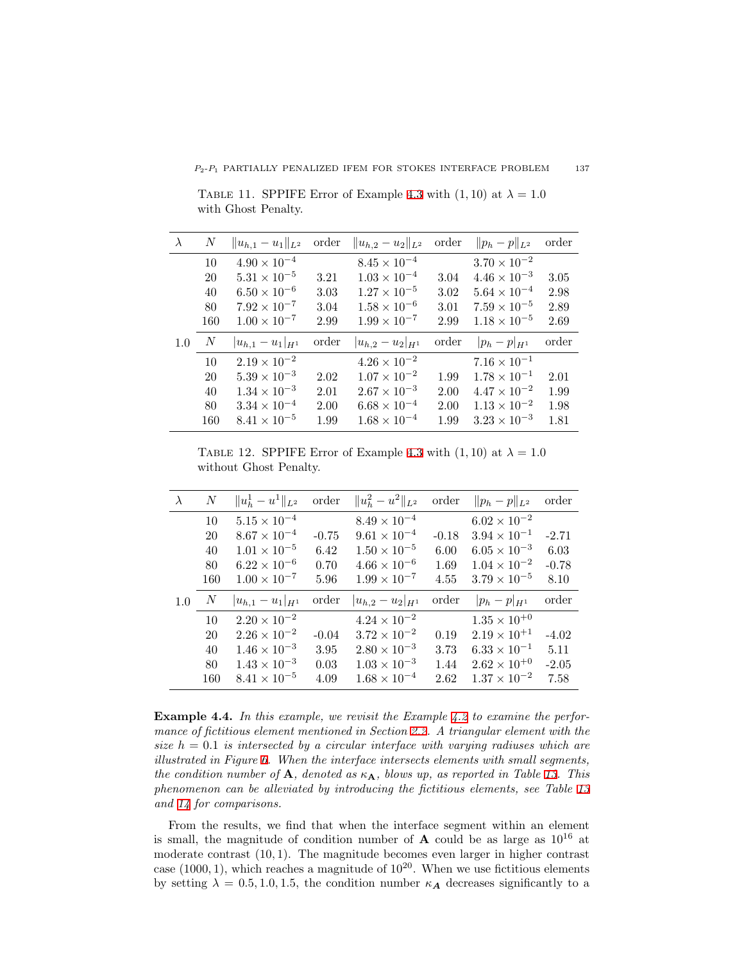<span id="page-17-0"></span>TABLE 11. SPPIFE Error of Example [4.3](#page-14-0) with  $(1, 10)$  at  $\lambda = 1.0$ with Ghost Penalty.

| $\lambda$ | N                | $  u_{h,1}-u_1  _{L^2}$                        | order | $  u_{h,2}-u_2  _{L^2}$                        | order | $  p_h - p  _{L^2}$                            | order |
|-----------|------------------|------------------------------------------------|-------|------------------------------------------------|-------|------------------------------------------------|-------|
|           | 10               | $4.90 \times 10^{-4}$                          |       | $8.45 \times 10^{-4}$                          |       | $3.70 \times 10^{-2}$                          |       |
|           | 20               | $5.31 \times 10^{-5}$                          | 3.21  | $1.03 \times 10^{-4}$                          | 3.04  | $4.46 \times 10^{-3}$                          | 3.05  |
|           | 40               | $6.50 \times 10^{-6}$                          | 3.03  | $1.27 \times 10^{-5}$                          | 3.02  | $5.64 \times 10^{-4}$                          | 2.98  |
|           | 80               | $7.92 \times 10^{-7}$                          | 3.04  | $1.58 \times 10^{-6}$                          | 3.01  | $7.59 \times 10^{-5}$                          | 2.89  |
|           | 160              | $1.00 \times 10^{-7}$                          | 2.99  | $1.99 \times 10^{-7}$                          | 2.99  | $1.18 \times 10^{-5}$                          | 2.69  |
| 1.0       |                  |                                                |       |                                                |       |                                                |       |
|           | $\boldsymbol{N}$ | $ u_{h,1}-u_1 _{H^1}$                          | order | $ u_{h,2}-u_2 _{H^1}$                          | order | $ p_h - p _{H^1}$                              | order |
|           | 10               | $2.19 \times 10^{-2}$                          |       | $4.26 \times 10^{-2}$                          |       | $7.16 \times 10^{-1}$                          |       |
|           | 20               | $5.39 \times 10^{-3}$                          | 2.02  | $1.07 \times 10^{-2}$                          | 1.99  | $1.78 \times 10^{-1}$                          | 2.01  |
|           | 40               | $1.34 \times 10^{-3}$                          | 2.01  | $2.67 \times 10^{-3}$                          | 2.00  | $4.47 \times 10^{-2}$                          | 1.99  |
|           | 80               | $3.34 \times 10^{-4}$<br>$8.41 \times 10^{-5}$ | 2.00  | $6.68 \times 10^{-4}$<br>$1.68 \times 10^{-4}$ | 2.00  | $1.13 \times 10^{-2}$<br>$3.23 \times 10^{-3}$ | 1.98  |

<span id="page-17-1"></span>TABLE 12. SPPIFE Error of Example [4.3](#page-14-0) with  $(1, 10)$  at  $\lambda = 1.0$ without Ghost Penalty.

| $\lambda$ | $\boldsymbol{N}$ | $  u_h^1-u^1  _{L^2}$ | order   | $  u_h^2 - u^2  _{L^2}$ | order   | $  p_h - p  _{L^2}$   | order   |
|-----------|------------------|-----------------------|---------|-------------------------|---------|-----------------------|---------|
|           | 10               | $5.15 \times 10^{-4}$ |         | $8.49 \times 10^{-4}$   |         | $6.02 \times 10^{-2}$ |         |
|           | 20               | $8.67 \times 10^{-4}$ | $-0.75$ | $9.61 \times 10^{-4}$   | $-0.18$ | $3.94 \times 10^{-1}$ | $-2.71$ |
|           | 40               | $1.01 \times 10^{-5}$ | 6.42    | $1.50 \times 10^{-5}$   | 6.00    | $6.05 \times 10^{-3}$ | 6.03    |
|           | 80               | $6.22 \times 10^{-6}$ | 0.70    | $4.66 \times 10^{-6}$   | 1.69    | $1.04 \times 10^{-2}$ | $-0.78$ |
|           | 160              | $1.00 \times 10^{-7}$ | 5.96    | $1.99 \times 10^{-7}$   | 4.55    | $3.79 \times 10^{-5}$ | 8.10    |
| 1.0       | $\boldsymbol{N}$ | $ u_{h,1}-u_1 _{H^1}$ | order   | $ u_{h,2}-u_2 _{H^1}$   | order   | $ p_h - p _{H^1}$     | order   |
|           | 10               | $2.20 \times 10^{-2}$ |         | $4.24 \times 10^{-2}$   |         | $1.35 \times 10^{+0}$ |         |
|           | 20               | $2.26 \times 10^{-2}$ | $-0.04$ | $3.72 \times 10^{-2}$   | 0.19    | $2.19 \times 10^{+1}$ | $-4.02$ |
|           | 40               | $1.46 \times 10^{-3}$ | 3.95    | $2.80 \times 10^{-3}$   | 3.73    | $6.33 \times 10^{-1}$ | 5.11    |
|           | 80               | $1.43 \times 10^{-3}$ | 0.03    | $1.03 \times 10^{-3}$   | 1.44    | $2.62 \times 10^{+0}$ | $-2.05$ |
|           | 160              | $8.41 \times 10^{-5}$ | 4.09    | $1.68 \times 10^{-4}$   | 2.62    | $1.37 \times 10^{-2}$ | 7.58    |

<span id="page-17-2"></span>**Example 4.4.** *In this example, we revisit the Example [4.2](#page-12-2) to examine the performance of fictitious element mentioned in Section [2.2](#page-4-1). A triangular element with the size h* = 0*.*1 *is intersected by a circular interface with varying radiuses which are illustrated in Figure [6.](#page-18-1) When the interface intersects elements with small segments, the condition number of* **A***, denoted as κ***A***, blows up, as reported in Table [13](#page-18-2). This phenomenon can be alleviated by introducing the fictitious elements, see Table [13](#page-18-2) and [14](#page-19-12) for comparisons.*

From the results, we find that when the interface segment within an element is small, the magnitude of condition number of  $A$  could be as large as  $10^{16}$  at moderate contrast (10*,* 1). The magnitude becomes even larger in higher contrast case  $(1000, 1)$ , which reaches a magnitude of  $10^{20}$ . When we use fictitious elements by setting  $\lambda = 0.5, 1.0, 1.5$ , the condition number  $\kappa_A$  decreases significantly to a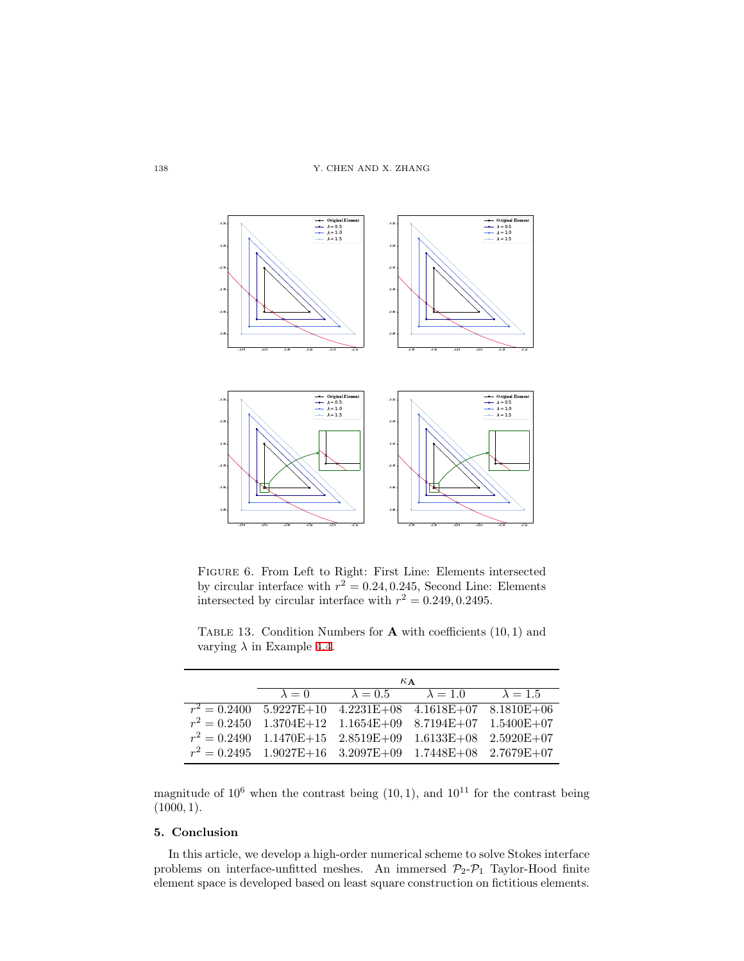<span id="page-18-1"></span>

Figure 6. From Left to Right: First Line: Elements intersected by circular interface with  $r^2 = 0.24, 0.245$ , Second Line: Elements intersected by circular interface with  $r^2 = 0.249, 0.2495$ .

*κ***<sup>A</sup>**  $\lambda = 0$   $\lambda = 0.5$   $\lambda = 1.0$   $\lambda = 1.5$  $r^2 = 0.2400$ <sup>2</sup> = 0*.*2400 5.9227E+10 4.2231E+08 4.1618E+07 8.1810E+06  $r^2=0.2450$  $1.3704E+12 \quad 1.1654E+09 \quad 8.7194E+07 \quad 1.5400E+07$  $r^2 = 0.2490$  $1.1470\mathrm{E}+15 \quad 2.8519\mathrm{E}+09 \quad 1.6133\mathrm{E}+08 \quad 2.5920\mathrm{E}+07$ 

<span id="page-18-2"></span>TABLE 13. Condition Numbers for  $\bf{A}$  with coefficients  $(10, 1)$  and varying  $\lambda$  in Example [4.4.](#page-17-2)

magnitude of  $10^6$  when the contrast being  $(10, 1)$ , and  $10^{11}$  for the contrast being (1000*,* 1).

 $1.9027\mathrm{E}{+16} \quad 3.2097\mathrm{E}{+09} \quad 1.7448\mathrm{E}{+08} \quad 2.7679\mathrm{E}{+07}$ 

# <span id="page-18-0"></span>**5. Conclusion**

 $r^2 = 0.2495$ 

In this article, we develop a high-order numerical scheme to solve Stokes interface problems on interface-unfitted meshes. An immersed  $\mathcal{P}_2$ - $\mathcal{P}_1$  Taylor-Hood finite element space is developed based on least square construction on fictitious elements.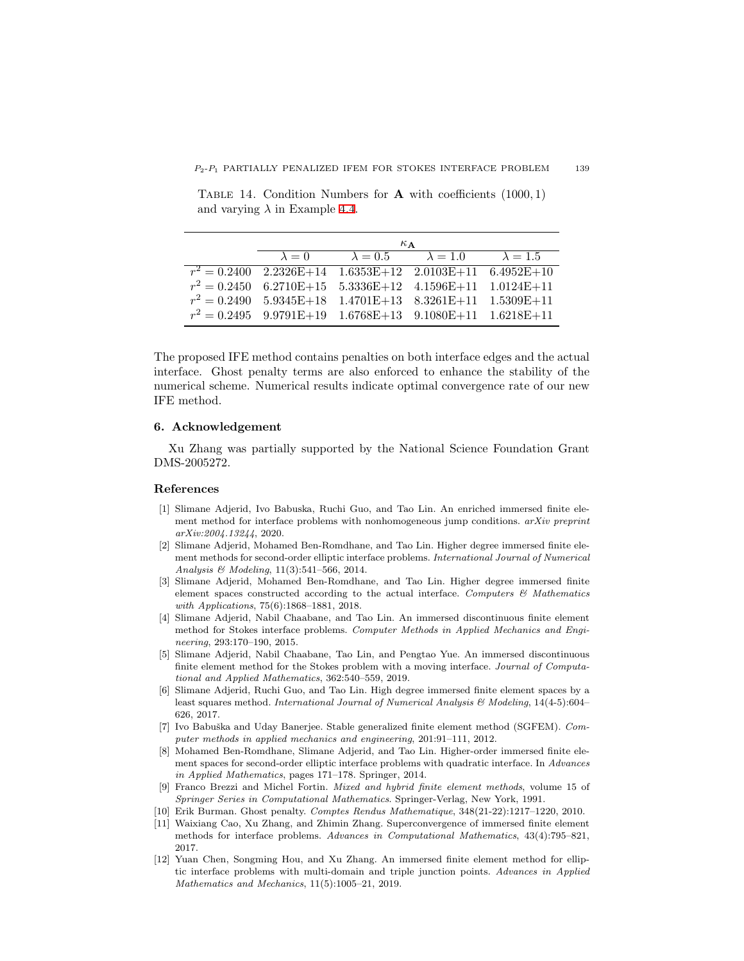<span id="page-19-12"></span>Table 14. Condition Numbers for **A** with coefficients (1000*,* 1) and varying  $\lambda$  in Example [4.4](#page-17-2).

| $\kappa$ $\Delta$                                                  |                                                               |  |  |
|--------------------------------------------------------------------|---------------------------------------------------------------|--|--|
|                                                                    | $\lambda = 0$ $\lambda = 0.5$ $\lambda = 1.0$ $\lambda = 1.5$ |  |  |
| $r^2 = 0.2400$ $2.2326E+14$ $1.6353E+12$ $2.0103E+11$ $6.4952E+10$ |                                                               |  |  |
| $r^2 = 0.2450$ 6.2710E+15 5.3336E+12 4.1596E+11 1.0124E+11         |                                                               |  |  |
| $r^2 = 0.2490$ 5.9345E+18 1.4701E+13 8.3261E+11 1.5309E+11         |                                                               |  |  |
| $r^2 = 0.2495$ 9.9791E+19 1.6768E+13 9.1080E+11 1.6218E+11         |                                                               |  |  |

The proposed IFE method contains penalties on both interface edges and the actual interface. Ghost penalty terms are also enforced to enhance the stability of the numerical scheme. Numerical results indicate optimal convergence rate of our new IFE method.

# **6. Acknowledgement**

Xu Zhang was partially supported by the National Science Foundation Grant DMS-2005272.

#### **References**

- <span id="page-19-11"></span>[1] Slimane Adjerid, Ivo Babuska, Ruchi Guo, and Tao Lin. An enriched immersed finite element method for interface problems with nonhomogeneous jump conditions. *arXiv preprint arXiv:2004.13244*, 2020.
- <span id="page-19-7"></span>[2] Slimane Adjerid, Mohamed Ben-Romdhane, and Tao Lin. Higher degree immersed finite element methods for second-order elliptic interface problems. *International Journal of Numerical Analysis & Modeling*, 11(3):541–566, 2014.
- <span id="page-19-9"></span>[3] Slimane Adjerid, Mohamed Ben-Romdhane, and Tao Lin. Higher degree immersed finite element spaces constructed according to the actual interface. *Computers & Mathematics with Applications*, 75(6):1868–1881, 2018.
- <span id="page-19-5"></span>[4] Slimane Adjerid, Nabil Chaabane, and Tao Lin. An immersed discontinuous finite element method for Stokes interface problems. *Computer Methods in Applied Mechanics and Engineering*, 293:170–190, 2015.
- <span id="page-19-0"></span>[5] Slimane Adjerid, Nabil Chaabane, Tao Lin, and Pengtao Yue. An immersed discontinuous finite element method for the Stokes problem with a moving interface. *Journal of Computational and Applied Mathematics*, 362:540–559, 2019.
- <span id="page-19-4"></span>[6] Slimane Adjerid, Ruchi Guo, and Tao Lin. High degree immersed finite element spaces by a least squares method. *International Journal of Numerical Analysis & Modeling*, 14(4-5):604– 626, 2017.
- <span id="page-19-1"></span>[7] Ivo Babuška and Uday Banerjee. Stable generalized finite element method (SGFEM). *Computer methods in applied mechanics and engineering*, 201:91–111, 2012.
- <span id="page-19-8"></span>[8] Mohamed Ben-Romdhane, Slimane Adjerid, and Tao Lin. Higher-order immersed finite element spaces for second-order elliptic interface problems with quadratic interface. In *Advances in Applied Mathematics*, pages 171–178. Springer, 2014.
- <span id="page-19-6"></span>[9] Franco Brezzi and Michel Fortin. *Mixed and hybrid finite element methods*, volume 15 of *Springer Series in Computational Mathematics*. Springer-Verlag, New York, 1991.
- <span id="page-19-10"></span>[10] Erik Burman. Ghost penalty. *Comptes Rendus Mathematique*, 348(21-22):1217–1220, 2010.
- <span id="page-19-2"></span>[11] Waixiang Cao, Xu Zhang, and Zhimin Zhang. Superconvergence of immersed finite element methods for interface problems. *Advances in Computational Mathematics*, 43(4):795–821, 2017.
- <span id="page-19-3"></span>[12] Yuan Chen, Songming Hou, and Xu Zhang. An immersed finite element method for elliptic interface problems with multi-domain and triple junction points. *Advances in Applied Mathematics and Mechanics*, 11(5):1005–21, 2019.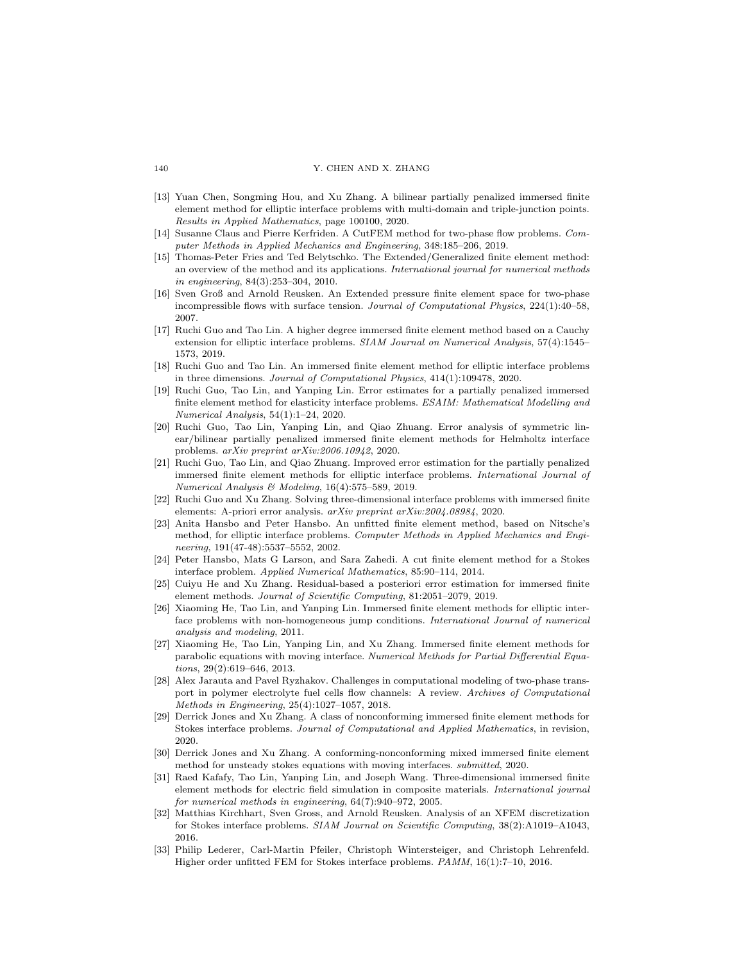- <span id="page-20-8"></span>[13] Yuan Chen, Songming Hou, and Xu Zhang. A bilinear partially penalized immersed finite element method for elliptic interface problems with multi-domain and triple-junction points. *Results in Applied Mathematics*, page 100100, 2020.
- <span id="page-20-20"></span>[14] Susanne Claus and Pierre Kerfriden. A CutFEM method for two-phase flow problems. *Computer Methods in Applied Mechanics and Engineering*, 348:185–206, 2019.
- <span id="page-20-3"></span>[15] Thomas-Peter Fries and Ted Belytschko. The Extended/Generalized finite element method: an overview of the method and its applications. *International journal for numerical methods in engineering*, 84(3):253–304, 2010.
- <span id="page-20-16"></span>[16] Sven Groß and Arnold Reusken. An Extended pressure finite element space for two-phase incompressible flows with surface tension. *Journal of Computational Physics*, 224(1):40–58, 2007.
- <span id="page-20-9"></span>[17] Ruchi Guo and Tao Lin. A higher degree immersed finite element method based on a Cauchy extension for elliptic interface problems. *SIAM Journal on Numerical Analysis*, 57(4):1545– 1573, 2019.
- <span id="page-20-11"></span>[18] Ruchi Guo and Tao Lin. An immersed finite element method for elliptic interface problems in three dimensions. *Journal of Computational Physics*, 414(1):109478, 2020.
- <span id="page-20-7"></span>[19] Ruchi Guo, Tao Lin, and Yanping Lin. Error estimates for a partially penalized immersed finite element method for elasticity interface problems. *ESAIM: Mathematical Modelling and Numerical Analysis*, 54(1):1–24, 2020.
- <span id="page-20-10"></span>[20] Ruchi Guo, Tao Lin, Yanping Lin, and Qiao Zhuang. Error analysis of symmetric linear/bilinear partially penalized immersed finite element methods for Helmholtz interface problems. *arXiv preprint arXiv:2006.10942*, 2020.
- <span id="page-20-13"></span>[21] Ruchi Guo, Tao Lin, and Qiao Zhuang. Improved error estimation for the partially penalized immersed finite element methods for elliptic interface problems. *International Journal of Numerical Analysis & Modeling*, 16(4):575–589, 2019.
- <span id="page-20-12"></span>[22] Ruchi Guo and Xu Zhang. Solving three-dimensional interface problems with immersed finite elements: A-priori error analysis. *arXiv preprint arXiv:2004.08984*, 2020.
- <span id="page-20-4"></span>[23] Anita Hansbo and Peter Hansbo. An unfitted finite element method, based on Nitsche's method, for elliptic interface problems. *Computer Methods in Applied Mechanics and Engineering*, 191(47-48):5537–5552, 2002.
- <span id="page-20-15"></span>[24] Peter Hansbo, Mats G Larson, and Sara Zahedi. A cut finite element method for a Stokes interface problem. *Applied Numerical Mathematics*, 85:90–114, 2014.
- <span id="page-20-14"></span>[25] Cuiyu He and Xu Zhang. Residual-based a posteriori error estimation for immersed finite element methods. *Journal of Scientific Computing*, 81:2051–2079, 2019.
- <span id="page-20-5"></span>[26] Xiaoming He, Tao Lin, and Yanping Lin. Immersed finite element methods for elliptic interface problems with non-homogeneous jump conditions. *International Journal of numerical analysis and modeling*, 2011.
- <span id="page-20-1"></span>[27] Xiaoming He, Tao Lin, Yanping Lin, and Xu Zhang. Immersed finite element methods for parabolic equations with moving interface. *Numerical Methods for Partial Differential Equations*, 29(2):619–646, 2013.
- <span id="page-20-0"></span>[28] Alex Jarauta and Pavel Ryzhakov. Challenges in computational modeling of two-phase transport in polymer electrolyte fuel cells flow channels: A review. *Archives of Computational Methods in Engineering*, 25(4):1027–1057, 2018.
- <span id="page-20-17"></span>[29] Derrick Jones and Xu Zhang. A class of nonconforming immersed finite element methods for Stokes interface problems. *Journal of Computational and Applied Mathematics*, in revision, 2020.
- <span id="page-20-2"></span>[30] Derrick Jones and Xu Zhang. A conforming-nonconforming mixed immersed finite element method for unsteady stokes equations with moving interfaces. *submitted*, 2020.
- <span id="page-20-6"></span>[31] Raed Kafafy, Tao Lin, Yanping Lin, and Joseph Wang. Three-dimensional immersed finite element methods for electric field simulation in composite materials. *International journal for numerical methods in engineering*, 64(7):940–972, 2005.
- <span id="page-20-19"></span>[32] Matthias Kirchhart, Sven Gross, and Arnold Reusken. Analysis of an XFEM discretization for Stokes interface problems. *SIAM Journal on Scientific Computing*, 38(2):A1019–A1043, 2016.
- <span id="page-20-18"></span>[33] Philip Lederer, Carl-Martin Pfeiler, Christoph Wintersteiger, and Christoph Lehrenfeld. Higher order unfitted FEM for Stokes interface problems. *PAMM*, 16(1):7–10, 2016.